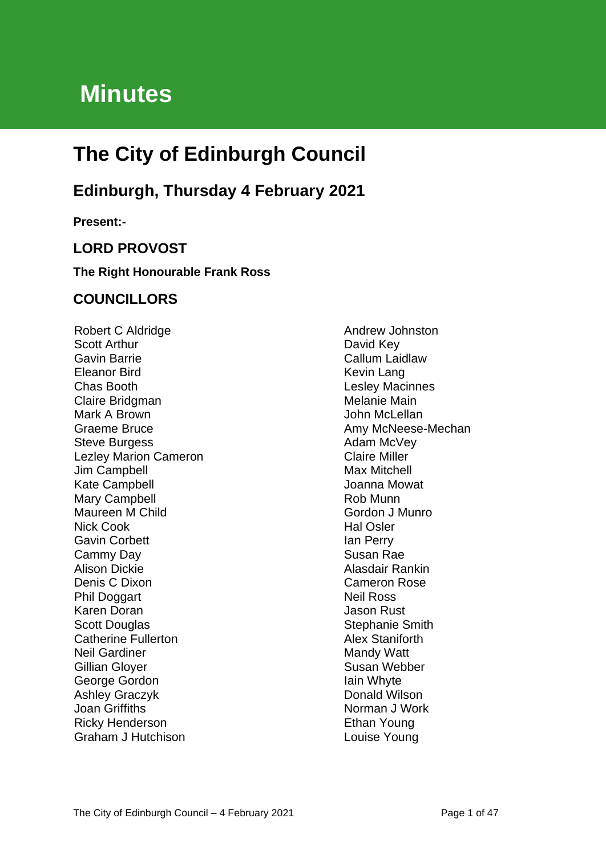# **Minutes**

# **The City of Edinburgh Council**

## **Edinburgh, Thursday 4 February 2021**

**Present:-**

## **LORD PROVOST**

#### **The Right Honourable Frank Ross**

### **COUNCILLORS**

Robert C Aldridge Scott Arthur Gavin Barrie Eleanor Bird Chas Booth Claire Bridgman Mark A Brown Graeme Bruce Steve Burgess Lezley Marion Cameron Jim Campbell Kate Campbell Mary Campbell Maureen M Child Nick Cook Gavin Corbett Cammy Day Alison Dickie Denis C Dixon Phil Doggart Karen Doran Scott Douglas Catherine Fullerton Neil Gardiner Gillian Gloyer George Gordon Ashley Graczyk Joan Griffiths Ricky Henderson Graham J Hutchison

Andrew Johnston David Key Callum Laidlaw Kevin Lang Lesley Macinnes Melanie Main John McLellan Amy McNeese-Mechan Adam McVey Claire Miller Max Mitchell Joanna Mowat Rob Munn Gordon J Munro Hal Osler Ian Perry Susan Rae Alasdair Rankin Cameron Rose Neil Ross Jason Rust Stephanie Smith Alex Staniforth Mandy Watt Susan Webber Iain Whyte Donald Wilson Norman J Work Ethan Young Louise Young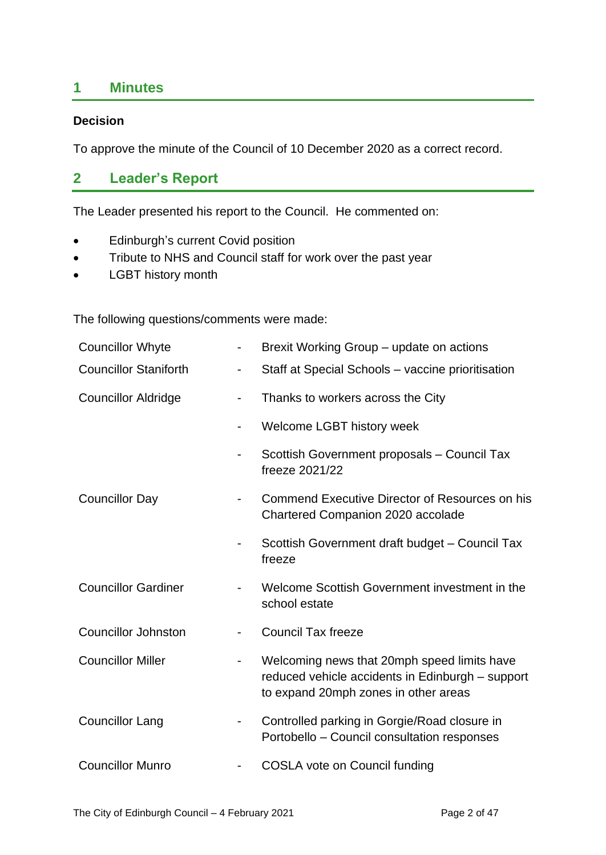## **1 Minutes**

#### **Decision**

To approve the minute of the Council of 10 December 2020 as a correct record.

### **2 Leader's Report**

The Leader presented his report to the Council. He commented on:

- Edinburgh's current Covid position
- Tribute to NHS and Council staff for work over the past year
- LGBT history month

The following questions/comments were made:

| <b>Councillor Whyte</b>      |                              | Brexit Working Group - update on actions                                                                                                |
|------------------------------|------------------------------|-----------------------------------------------------------------------------------------------------------------------------------------|
| <b>Councillor Staniforth</b> |                              | Staff at Special Schools - vaccine prioritisation                                                                                       |
| <b>Councillor Aldridge</b>   |                              | Thanks to workers across the City                                                                                                       |
|                              | -                            | Welcome LGBT history week                                                                                                               |
|                              |                              | Scottish Government proposals - Council Tax<br>freeze 2021/22                                                                           |
| <b>Councillor Day</b>        |                              | Commend Executive Director of Resources on his<br>Chartered Companion 2020 accolade                                                     |
|                              |                              | Scottish Government draft budget - Council Tax<br>freeze                                                                                |
| <b>Councillor Gardiner</b>   |                              | Welcome Scottish Government investment in the<br>school estate                                                                          |
| <b>Councillor Johnston</b>   |                              | <b>Council Tax freeze</b>                                                                                                               |
| <b>Councillor Miller</b>     | $\qquad \qquad \blacksquare$ | Welcoming news that 20mph speed limits have<br>reduced vehicle accidents in Edinburgh - support<br>to expand 20mph zones in other areas |
| <b>Councillor Lang</b>       |                              | Controlled parking in Gorgie/Road closure in<br>Portobello - Council consultation responses                                             |
| <b>Councillor Munro</b>      |                              | COSLA vote on Council funding                                                                                                           |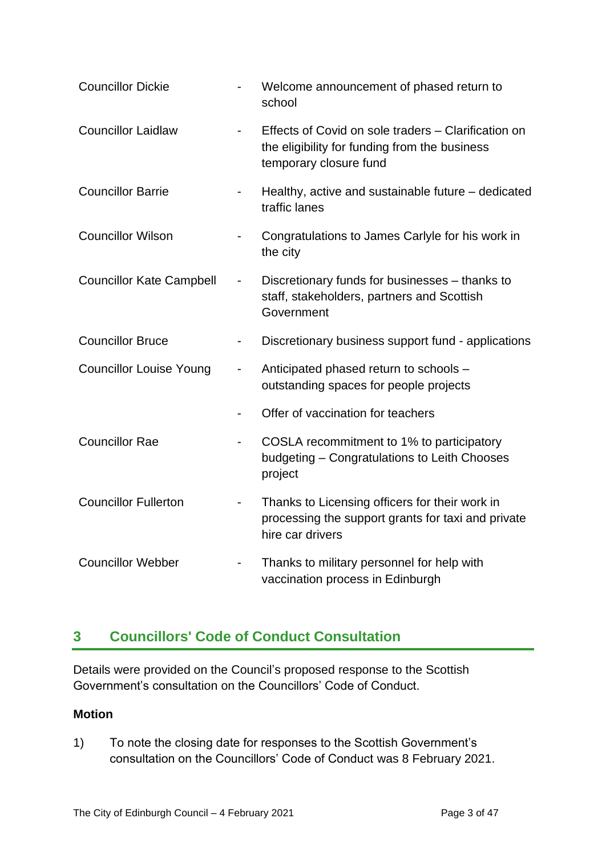| <b>Councillor Dickie</b>        | $\qquad \qquad \blacksquare$ | Welcome announcement of phased return to<br>school                                                                             |
|---------------------------------|------------------------------|--------------------------------------------------------------------------------------------------------------------------------|
| <b>Councillor Laidlaw</b>       |                              | Effects of Covid on sole traders - Clarification on<br>the eligibility for funding from the business<br>temporary closure fund |
| <b>Councillor Barrie</b>        |                              | Healthy, active and sustainable future - dedicated<br>traffic lanes                                                            |
| <b>Councillor Wilson</b>        |                              | Congratulations to James Carlyle for his work in<br>the city                                                                   |
| <b>Councillor Kate Campbell</b> |                              | Discretionary funds for businesses - thanks to<br>staff, stakeholders, partners and Scottish<br>Government                     |
| <b>Councillor Bruce</b>         | $\overline{\phantom{0}}$     | Discretionary business support fund - applications                                                                             |
| <b>Councillor Louise Young</b>  |                              | Anticipated phased return to schools -<br>outstanding spaces for people projects                                               |
|                                 |                              | Offer of vaccination for teachers                                                                                              |
| <b>Councillor Rae</b>           | $\qquad \qquad \blacksquare$ | COSLA recommitment to 1% to participatory<br>budgeting - Congratulations to Leith Chooses<br>project                           |
| <b>Councillor Fullerton</b>     | $\qquad \qquad \blacksquare$ | Thanks to Licensing officers for their work in<br>processing the support grants for taxi and private<br>hire car drivers       |
| <b>Councillor Webber</b>        |                              | Thanks to military personnel for help with<br>vaccination process in Edinburgh                                                 |

## **3 Councillors' Code of Conduct Consultation**

Details were provided on the Council's proposed response to the Scottish Government's consultation on the Councillors' Code of Conduct.

#### **Motion**

1) To note the closing date for responses to the Scottish Government's consultation on the Councillors' Code of Conduct was 8 February 2021.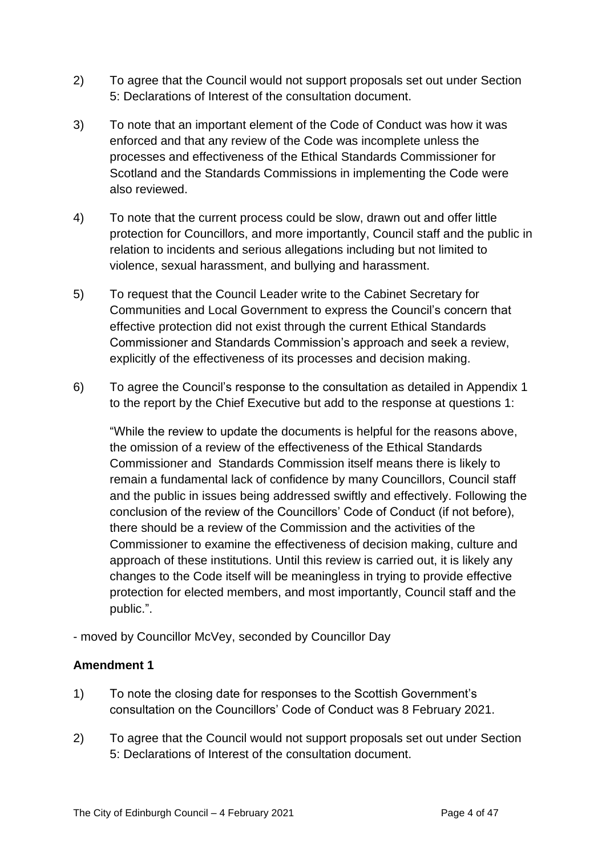- 2) To agree that the Council would not support proposals set out under Section 5: Declarations of Interest of the consultation document.
- 3) To note that an important element of the Code of Conduct was how it was enforced and that any review of the Code was incomplete unless the processes and effectiveness of the Ethical Standards Commissioner for Scotland and the Standards Commissions in implementing the Code were also reviewed.
- 4) To note that the current process could be slow, drawn out and offer little protection for Councillors, and more importantly, Council staff and the public in relation to incidents and serious allegations including but not limited to violence, sexual harassment, and bullying and harassment.
- 5) To request that the Council Leader write to the Cabinet Secretary for Communities and Local Government to express the Council's concern that effective protection did not exist through the current Ethical Standards Commissioner and Standards Commission's approach and seek a review, explicitly of the effectiveness of its processes and decision making.
- 6) To agree the Council's response to the consultation as detailed in Appendix 1 to the report by the Chief Executive but add to the response at questions 1:

"While the review to update the documents is helpful for the reasons above, the omission of a review of the effectiveness of the Ethical Standards Commissioner and Standards Commission itself means there is likely to remain a fundamental lack of confidence by many Councillors, Council staff and the public in issues being addressed swiftly and effectively. Following the conclusion of the review of the Councillors' Code of Conduct (if not before), there should be a review of the Commission and the activities of the Commissioner to examine the effectiveness of decision making, culture and approach of these institutions. Until this review is carried out, it is likely any changes to the Code itself will be meaningless in trying to provide effective protection for elected members, and most importantly, Council staff and the public.".

- moved by Councillor McVey, seconded by Councillor Day

#### **Amendment 1**

- 1) To note the closing date for responses to the Scottish Government's consultation on the Councillors' Code of Conduct was 8 February 2021.
- 2) To agree that the Council would not support proposals set out under Section 5: Declarations of Interest of the consultation document.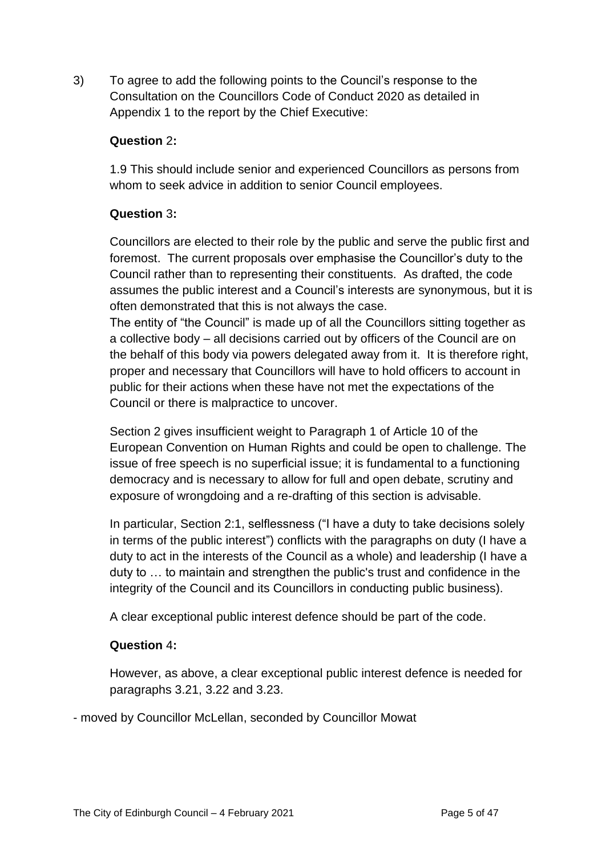3) To agree to add the following points to the Council's response to the Consultation on the Councillors Code of Conduct 2020 as detailed in Appendix 1 to the report by the Chief Executive:

#### **Question** 2**:**

1.9 This should include senior and experienced Councillors as persons from whom to seek advice in addition to senior Council employees.

#### **Question** 3**:**

Councillors are elected to their role by the public and serve the public first and foremost. The current proposals over emphasise the Councillor's duty to the Council rather than to representing their constituents. As drafted, the code assumes the public interest and a Council's interests are synonymous, but it is often demonstrated that this is not always the case.

The entity of "the Council" is made up of all the Councillors sitting together as a collective body – all decisions carried out by officers of the Council are on the behalf of this body via powers delegated away from it. It is therefore right, proper and necessary that Councillors will have to hold officers to account in public for their actions when these have not met the expectations of the Council or there is malpractice to uncover.

Section 2 gives insufficient weight to Paragraph 1 of Article 10 of the European Convention on Human Rights and could be open to challenge. The issue of free speech is no superficial issue; it is fundamental to a functioning democracy and is necessary to allow for full and open debate, scrutiny and exposure of wrongdoing and a re-drafting of this section is advisable.

In particular, Section 2:1, selflessness ("I have a duty to take decisions solely in terms of the public interest") conflicts with the paragraphs on duty (I have a duty to act in the interests of the Council as a whole) and leadership (I have a duty to … to maintain and strengthen the public's trust and confidence in the integrity of the Council and its Councillors in conducting public business).

A clear exceptional public interest defence should be part of the code.

#### **Question** 4**:**

However, as above, a clear exceptional public interest defence is needed for paragraphs 3.21, 3.22 and 3.23.

- moved by Councillor McLellan, seconded by Councillor Mowat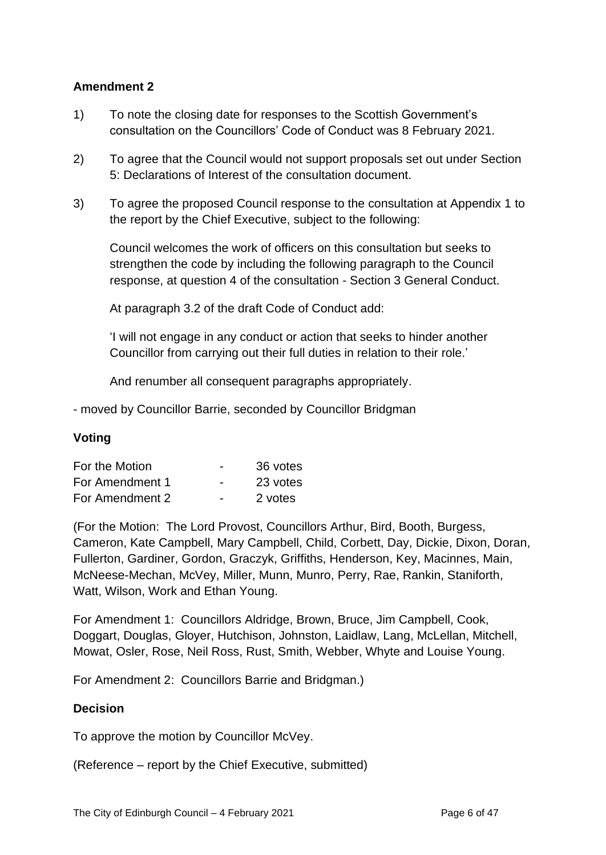#### **Amendment 2**

- 1) To note the closing date for responses to the Scottish Government's consultation on the Councillors' Code of Conduct was 8 February 2021.
- 2) To agree that the Council would not support proposals set out under Section 5: Declarations of Interest of the consultation document.
- 3) To agree the proposed Council response to the consultation at Appendix 1 to the report by the Chief Executive, subject to the following:

Council welcomes the work of officers on this consultation but seeks to strengthen the code by including the following paragraph to the Council response, at question 4 of the consultation - Section 3 General Conduct.

At paragraph 3.2 of the draft Code of Conduct add:

'I will not engage in any conduct or action that seeks to hinder another Councillor from carrying out their full duties in relation to their role.'

And renumber all consequent paragraphs appropriately.

- moved by Councillor Barrie, seconded by Councillor Bridgman

#### **Voting**

| For the Motion  | $\overline{\phantom{0}}$ | 36 votes |
|-----------------|--------------------------|----------|
| For Amendment 1 | $\overline{\phantom{0}}$ | 23 votes |
| For Amendment 2 | $\overline{\phantom{0}}$ | 2 votes  |

(For the Motion: The Lord Provost, Councillors Arthur, Bird, Booth, Burgess, Cameron, Kate Campbell, Mary Campbell, Child, Corbett, Day, Dickie, Dixon, Doran, Fullerton, Gardiner, Gordon, Graczyk, Griffiths, Henderson, Key, Macinnes, Main, McNeese-Mechan, McVey, Miller, Munn, Munro, Perry, Rae, Rankin, Staniforth, Watt, Wilson, Work and Ethan Young.

For Amendment 1: Councillors Aldridge, Brown, Bruce, Jim Campbell, Cook, Doggart, Douglas, Gloyer, Hutchison, Johnston, Laidlaw, Lang, McLellan, Mitchell, Mowat, Osler, Rose, Neil Ross, Rust, Smith, Webber, Whyte and Louise Young.

For Amendment 2: Councillors Barrie and Bridgman.)

#### **Decision**

To approve the motion by Councillor McVey.

(Reference – report by the Chief Executive, submitted)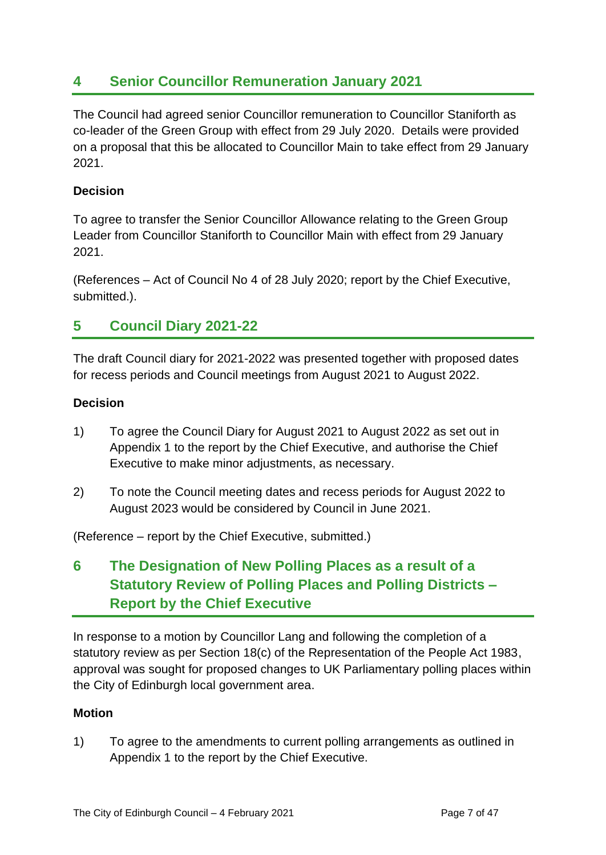## **4 Senior Councillor Remuneration January 2021**

The Council had agreed senior Councillor remuneration to Councillor Staniforth as co-leader of the Green Group with effect from 29 July 2020. Details were provided on a proposal that this be allocated to Councillor Main to take effect from 29 January 2021.

#### **Decision**

To agree to transfer the Senior Councillor Allowance relating to the Green Group Leader from Councillor Staniforth to Councillor Main with effect from 29 January 2021.

(References – Act of Council No 4 of 28 July 2020; report by the Chief Executive, submitted.).

## **5 Council Diary 2021-22**

The draft Council diary for 2021-2022 was presented together with proposed dates for recess periods and Council meetings from August 2021 to August 2022.

#### **Decision**

- 1) To agree the Council Diary for August 2021 to August 2022 as set out in Appendix 1 to the report by the Chief Executive, and authorise the Chief Executive to make minor adjustments, as necessary.
- 2) To note the Council meeting dates and recess periods for August 2022 to August 2023 would be considered by Council in June 2021.

(Reference – report by the Chief Executive, submitted.)

**6 The Designation of New Polling Places as a result of a Statutory Review of Polling Places and Polling Districts – Report by the Chief Executive**

In response to a motion by Councillor Lang and following the completion of a statutory review as per Section 18(c) of the Representation of the People Act 1983, approval was sought for proposed changes to UK Parliamentary polling places within the City of Edinburgh local government area.

#### **Motion**

1) To agree to the amendments to current polling arrangements as outlined in Appendix 1 to the report by the Chief Executive.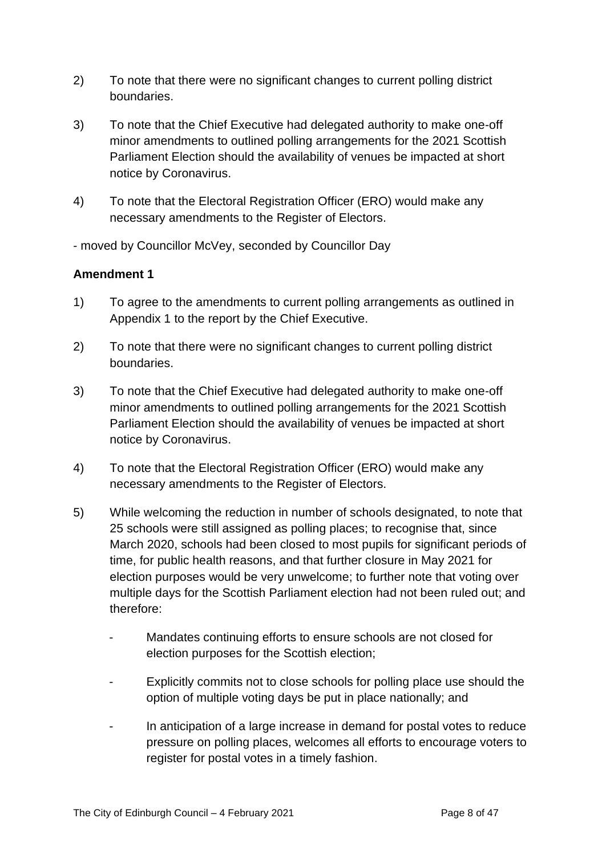- 2) To note that there were no significant changes to current polling district boundaries.
- 3) To note that the Chief Executive had delegated authority to make one-off minor amendments to outlined polling arrangements for the 2021 Scottish Parliament Election should the availability of venues be impacted at short notice by Coronavirus.
- 4) To note that the Electoral Registration Officer (ERO) would make any necessary amendments to the Register of Electors.

- moved by Councillor McVey, seconded by Councillor Day

#### **Amendment 1**

- 1) To agree to the amendments to current polling arrangements as outlined in Appendix 1 to the report by the Chief Executive.
- 2) To note that there were no significant changes to current polling district boundaries.
- 3) To note that the Chief Executive had delegated authority to make one-off minor amendments to outlined polling arrangements for the 2021 Scottish Parliament Election should the availability of venues be impacted at short notice by Coronavirus.
- 4) To note that the Electoral Registration Officer (ERO) would make any necessary amendments to the Register of Electors.
- 5) While welcoming the reduction in number of schools designated, to note that 25 schools were still assigned as polling places; to recognise that, since March 2020, schools had been closed to most pupils for significant periods of time, for public health reasons, and that further closure in May 2021 for election purposes would be very unwelcome; to further note that voting over multiple days for the Scottish Parliament election had not been ruled out; and therefore:
	- Mandates continuing efforts to ensure schools are not closed for election purposes for the Scottish election;
	- Explicitly commits not to close schools for polling place use should the option of multiple voting days be put in place nationally; and
	- In anticipation of a large increase in demand for postal votes to reduce pressure on polling places, welcomes all efforts to encourage voters to register for postal votes in a timely fashion.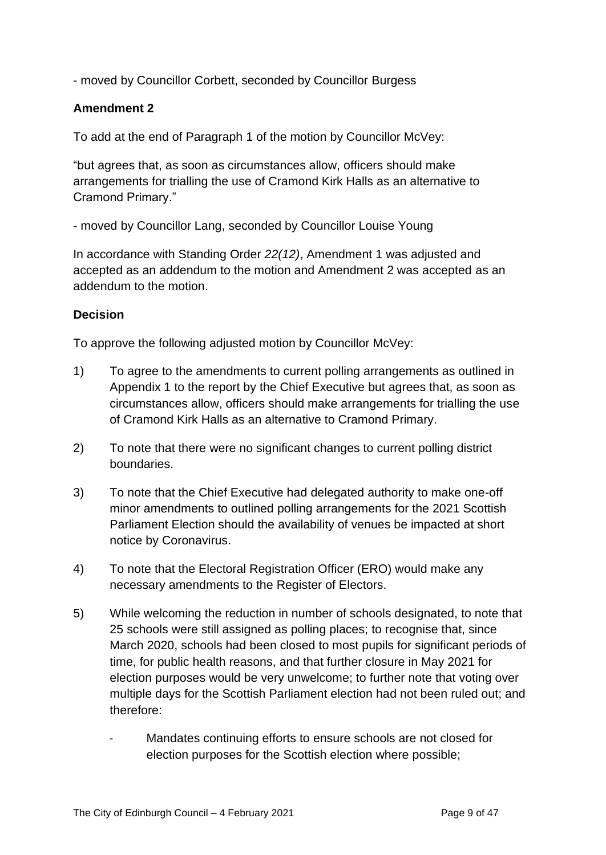- moved by Councillor Corbett, seconded by Councillor Burgess

#### **Amendment 2**

To add at the end of Paragraph 1 of the motion by Councillor McVey:

"but agrees that, as soon as circumstances allow, officers should make arrangements for trialling the use of Cramond Kirk Halls as an alternative to Cramond Primary."

- moved by Councillor Lang, seconded by Councillor Louise Young

In accordance with Standing Order *22(12)*, Amendment 1 was adjusted and accepted as an addendum to the motion and Amendment 2 was accepted as an addendum to the motion.

#### **Decision**

To approve the following adjusted motion by Councillor McVey:

- 1) To agree to the amendments to current polling arrangements as outlined in Appendix 1 to the report by the Chief Executive but agrees that, as soon as circumstances allow, officers should make arrangements for trialling the use of Cramond Kirk Halls as an alternative to Cramond Primary.
- 2) To note that there were no significant changes to current polling district boundaries.
- 3) To note that the Chief Executive had delegated authority to make one-off minor amendments to outlined polling arrangements for the 2021 Scottish Parliament Election should the availability of venues be impacted at short notice by Coronavirus.
- 4) To note that the Electoral Registration Officer (ERO) would make any necessary amendments to the Register of Electors.
- 5) While welcoming the reduction in number of schools designated, to note that 25 schools were still assigned as polling places; to recognise that, since March 2020, schools had been closed to most pupils for significant periods of time, for public health reasons, and that further closure in May 2021 for election purposes would be very unwelcome; to further note that voting over multiple days for the Scottish Parliament election had not been ruled out; and therefore:
	- Mandates continuing efforts to ensure schools are not closed for election purposes for the Scottish election where possible;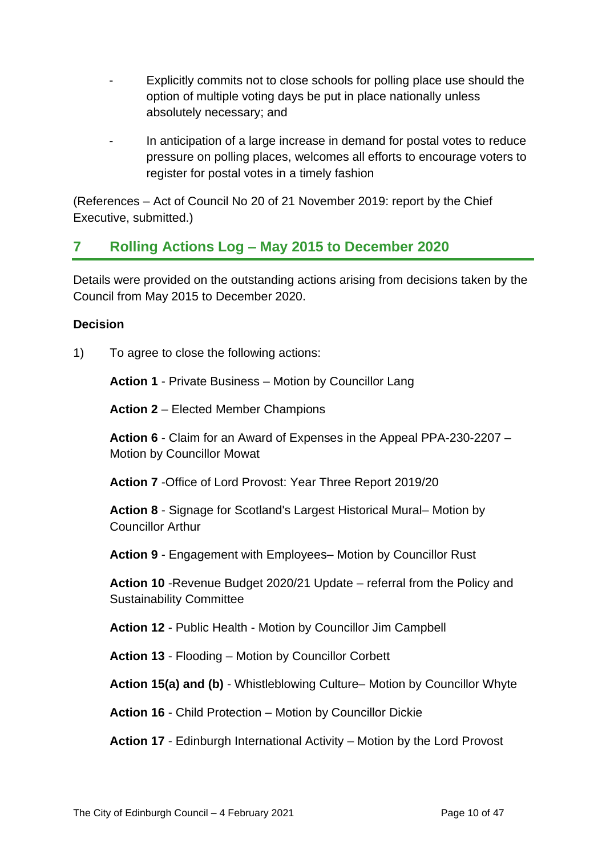- Explicitly commits not to close schools for polling place use should the option of multiple voting days be put in place nationally unless absolutely necessary; and
- In anticipation of a large increase in demand for postal votes to reduce pressure on polling places, welcomes all efforts to encourage voters to register for postal votes in a timely fashion

(References – Act of Council No 20 of 21 November 2019: report by the Chief Executive, submitted.)

## **7 Rolling Actions Log – May 2015 to December 2020**

Details were provided on the outstanding actions arising from decisions taken by the Council from May 2015 to December 2020.

### **Decision**

1) To agree to close the following actions:

**Action 1** - Private Business – Motion by Councillor Lang

**Action 2** – Elected Member Champions

**Action 6** - Claim for an Award of Expenses in the Appeal PPA-230-2207 – Motion by Councillor Mowat

**Action 7** -Office of Lord Provost: Year Three Report 2019/20

**Action 8** - Signage for Scotland's Largest Historical Mural– Motion by Councillor Arthur

**Action 9** - Engagement with Employees– Motion by Councillor Rust

**Action 10** -Revenue Budget 2020/21 Update – referral from the Policy and Sustainability Committee

**Action 12** - Public Health - Motion by Councillor Jim Campbell

**Action 13** - Flooding – Motion by Councillor Corbett

**Action 15(a) and (b)** - Whistleblowing Culture– Motion by Councillor Whyte

**Action 16** - Child Protection – Motion by Councillor Dickie

**Action 17** - Edinburgh International Activity – Motion by the Lord Provost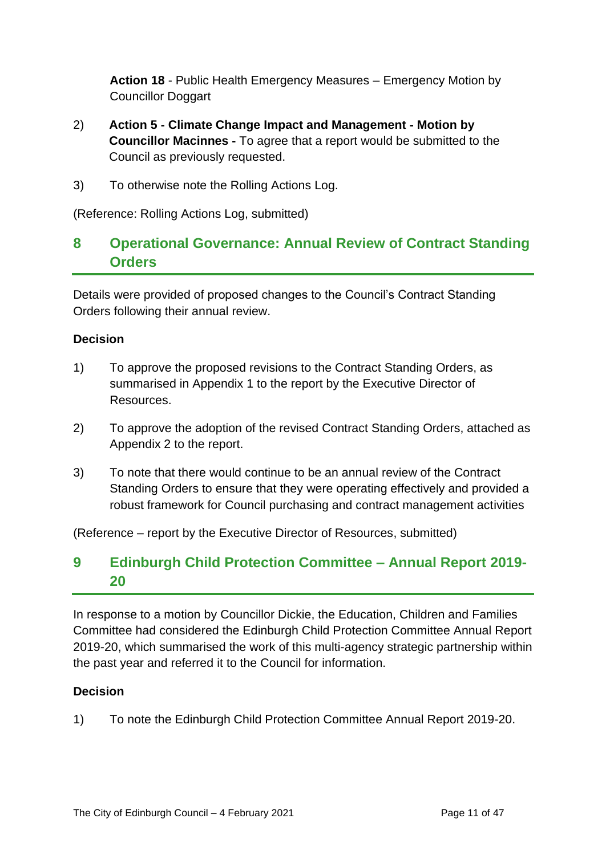**Action 18** - Public Health Emergency Measures – Emergency Motion by Councillor Doggart

- 2) **Action 5 - Climate Change Impact and Management - Motion by Councillor Macinnes -** To agree that a report would be submitted to the Council as previously requested.
- 3) To otherwise note the Rolling Actions Log.

(Reference: Rolling Actions Log, submitted)

## **8 Operational Governance: Annual Review of Contract Standing Orders**

Details were provided of proposed changes to the Council's Contract Standing Orders following their annual review.

#### **Decision**

- 1) To approve the proposed revisions to the Contract Standing Orders, as summarised in Appendix 1 to the report by the Executive Director of Resources.
- 2) To approve the adoption of the revised Contract Standing Orders, attached as Appendix 2 to the report.
- 3) To note that there would continue to be an annual review of the Contract Standing Orders to ensure that they were operating effectively and provided a robust framework for Council purchasing and contract management activities

(Reference – report by the Executive Director of Resources, submitted)

## **9 Edinburgh Child Protection Committee – Annual Report 2019- 20**

In response to a motion by Councillor Dickie, the Education, Children and Families Committee had considered the Edinburgh Child Protection Committee Annual Report 2019-20, which summarised the work of this multi-agency strategic partnership within the past year and referred it to the Council for information.

#### **Decision**

1) To note the Edinburgh Child Protection Committee Annual Report 2019-20.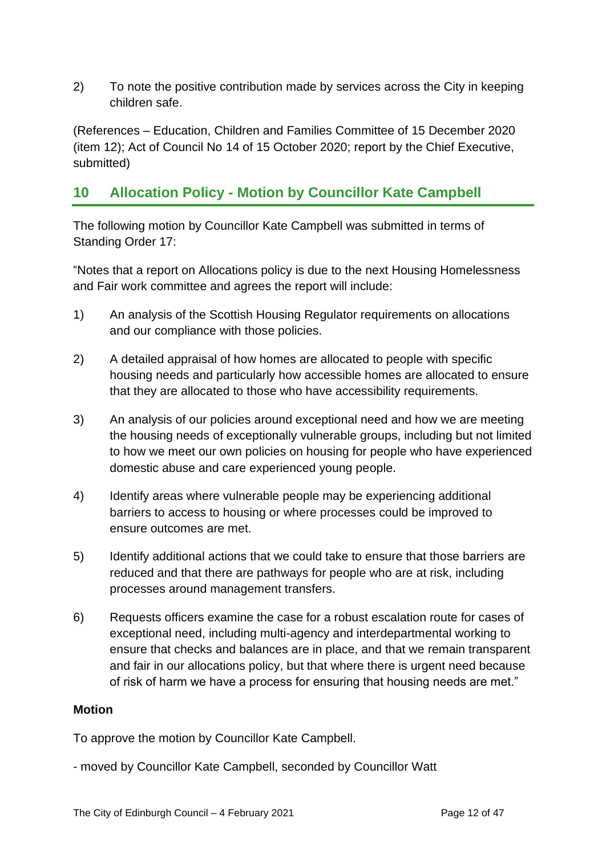2) To note the positive contribution made by services across the City in keeping children safe.

(References – Education, Children and Families Committee of 15 December 2020 (item 12); Act of Council No 14 of 15 October 2020; report by the Chief Executive, submitted)

## **10 Allocation Policy - Motion by Councillor Kate Campbell**

The following motion by Councillor Kate Campbell was submitted in terms of Standing Order 17:

"Notes that a report on Allocations policy is due to the next Housing Homelessness and Fair work committee and agrees the report will include:

- 1) An analysis of the Scottish Housing Regulator requirements on allocations and our compliance with those policies.
- 2) A detailed appraisal of how homes are allocated to people with specific housing needs and particularly how accessible homes are allocated to ensure that they are allocated to those who have accessibility requirements.
- 3) An analysis of our policies around exceptional need and how we are meeting the housing needs of exceptionally vulnerable groups, including but not limited to how we meet our own policies on housing for people who have experienced domestic abuse and care experienced young people.
- 4) Identify areas where vulnerable people may be experiencing additional barriers to access to housing or where processes could be improved to ensure outcomes are met.
- 5) Identify additional actions that we could take to ensure that those barriers are reduced and that there are pathways for people who are at risk, including processes around management transfers.
- 6) Requests officers examine the case for a robust escalation route for cases of exceptional need, including multi-agency and interdepartmental working to ensure that checks and balances are in place, and that we remain transparent and fair in our allocations policy, but that where there is urgent need because of risk of harm we have a process for ensuring that housing needs are met."

#### **Motion**

To approve the motion by Councillor Kate Campbell.

- moved by Councillor Kate Campbell, seconded by Councillor Watt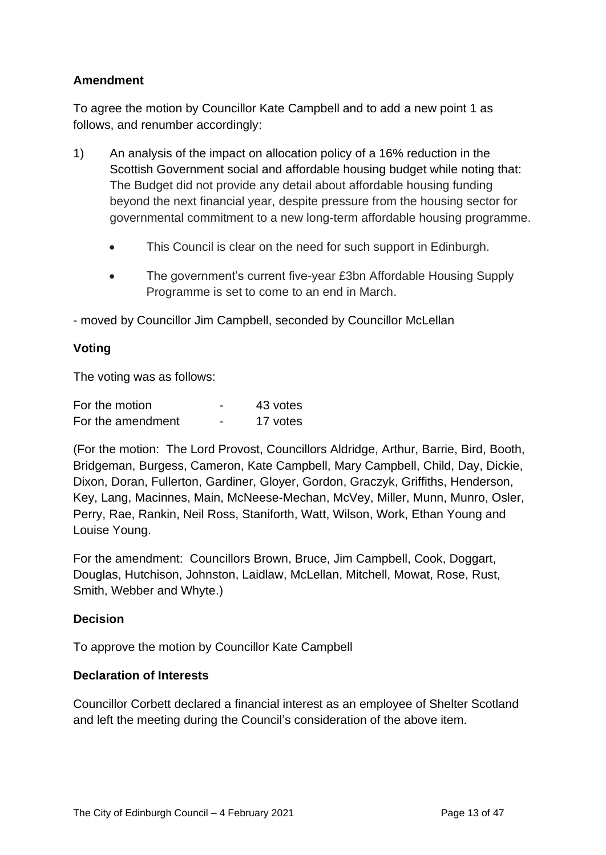### **Amendment**

To agree the motion by Councillor Kate Campbell and to add a new point 1 as follows, and renumber accordingly:

- 1) An analysis of the impact on allocation policy of a 16% reduction in the Scottish Government social and affordable housing budget while noting that: The Budget did not provide any detail about affordable housing funding beyond the next financial year, despite pressure from the housing sector for governmental commitment to a new long-term affordable housing programme.
	- This Council is clear on the need for such support in Edinburgh.
	- The government's current five-year £3bn Affordable Housing Supply Programme is set to come to an end in March.

- moved by Councillor Jim Campbell, seconded by Councillor McLellan

#### **Voting**

The voting was as follows:

| For the motion    |   | 43 votes |
|-------------------|---|----------|
| For the amendment | - | 17 votes |

(For the motion: The Lord Provost, Councillors Aldridge, Arthur, Barrie, Bird, Booth, Bridgeman, Burgess, Cameron, Kate Campbell, Mary Campbell, Child, Day, Dickie, Dixon, Doran, Fullerton, Gardiner, Gloyer, Gordon, Graczyk, Griffiths, Henderson, Key, Lang, Macinnes, Main, McNeese-Mechan, McVey, Miller, Munn, Munro, Osler, Perry, Rae, Rankin, Neil Ross, Staniforth, Watt, Wilson, Work, Ethan Young and Louise Young.

For the amendment: Councillors Brown, Bruce, Jim Campbell, Cook, Doggart, Douglas, Hutchison, Johnston, Laidlaw, McLellan, Mitchell, Mowat, Rose, Rust, Smith, Webber and Whyte.)

#### **Decision**

To approve the motion by Councillor Kate Campbell

#### **Declaration of Interests**

Councillor Corbett declared a financial interest as an employee of Shelter Scotland and left the meeting during the Council's consideration of the above item.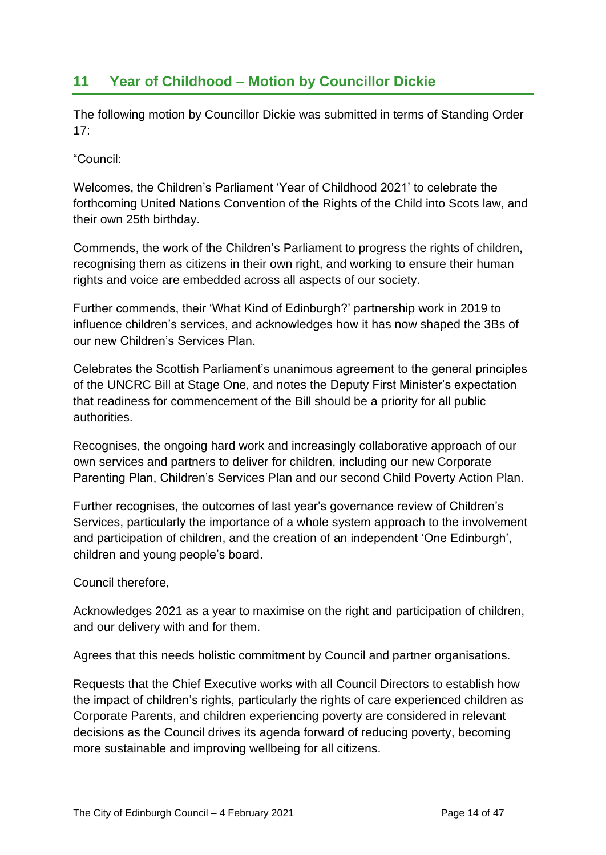## **11 Year of Childhood – Motion by Councillor Dickie**

The following motion by Councillor Dickie was submitted in terms of Standing Order  $17<sup>·</sup>$ 

"Council:

Welcomes, the Children's Parliament 'Year of Childhood 2021' to celebrate the forthcoming United Nations Convention of the Rights of the Child into Scots law, and their own 25th birthday.

Commends, the work of the Children's Parliament to progress the rights of children, recognising them as citizens in their own right, and working to ensure their human rights and voice are embedded across all aspects of our society.

Further commends, their 'What Kind of Edinburgh?' partnership work in 2019 to influence children's services, and acknowledges how it has now shaped the 3Bs of our new Children's Services Plan.

Celebrates the Scottish Parliament's unanimous agreement to the general principles of the UNCRC Bill at Stage One, and notes the Deputy First Minister's expectation that readiness for commencement of the Bill should be a priority for all public authorities.

Recognises, the ongoing hard work and increasingly collaborative approach of our own services and partners to deliver for children, including our new Corporate Parenting Plan, Children's Services Plan and our second Child Poverty Action Plan.

Further recognises, the outcomes of last year's governance review of Children's Services, particularly the importance of a whole system approach to the involvement and participation of children, and the creation of an independent 'One Edinburgh', children and young people's board.

Council therefore,

Acknowledges 2021 as a year to maximise on the right and participation of children, and our delivery with and for them.

Agrees that this needs holistic commitment by Council and partner organisations.

Requests that the Chief Executive works with all Council Directors to establish how the impact of children's rights, particularly the rights of care experienced children as Corporate Parents, and children experiencing poverty are considered in relevant decisions as the Council drives its agenda forward of reducing poverty, becoming more sustainable and improving wellbeing for all citizens.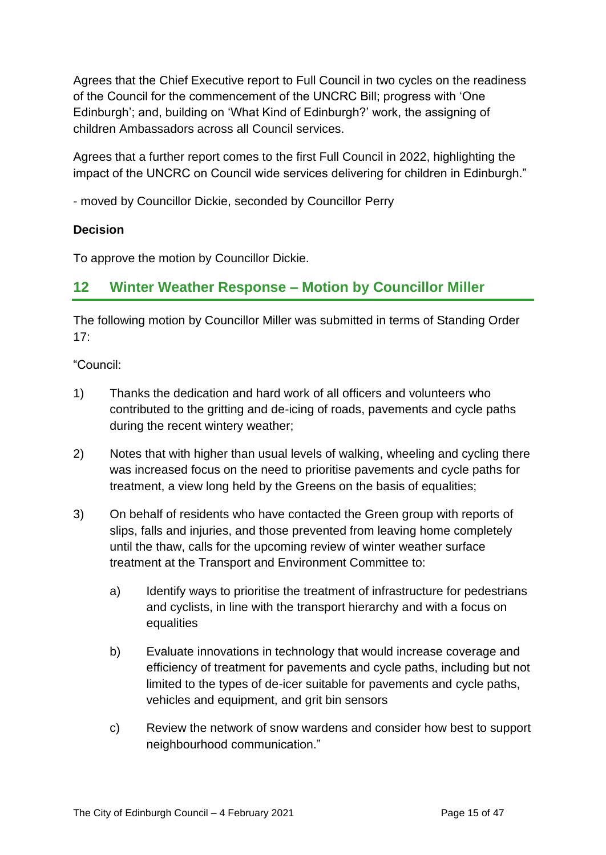Agrees that the Chief Executive report to Full Council in two cycles on the readiness of the Council for the commencement of the UNCRC Bill; progress with 'One Edinburgh'; and, building on 'What Kind of Edinburgh?' work, the assigning of children Ambassadors across all Council services.

Agrees that a further report comes to the first Full Council in 2022, highlighting the impact of the UNCRC on Council wide services delivering for children in Edinburgh."

- moved by Councillor Dickie, seconded by Councillor Perry

#### **Decision**

To approve the motion by Councillor Dickie.

## **12 Winter Weather Response – Motion by Councillor Miller**

The following motion by Councillor Miller was submitted in terms of Standing Order  $17:$ 

"Council:

- 1) Thanks the dedication and hard work of all officers and volunteers who contributed to the gritting and de-icing of roads, pavements and cycle paths during the recent wintery weather;
- 2) Notes that with higher than usual levels of walking, wheeling and cycling there was increased focus on the need to prioritise pavements and cycle paths for treatment, a view long held by the Greens on the basis of equalities;
- 3) On behalf of residents who have contacted the Green group with reports of slips, falls and injuries, and those prevented from leaving home completely until the thaw, calls for the upcoming review of winter weather surface treatment at the Transport and Environment Committee to:
	- a) Identify ways to prioritise the treatment of infrastructure for pedestrians and cyclists, in line with the transport hierarchy and with a focus on equalities
	- b) Evaluate innovations in technology that would increase coverage and efficiency of treatment for pavements and cycle paths, including but not limited to the types of de-icer suitable for pavements and cycle paths, vehicles and equipment, and grit bin sensors
	- c) Review the network of snow wardens and consider how best to support neighbourhood communication."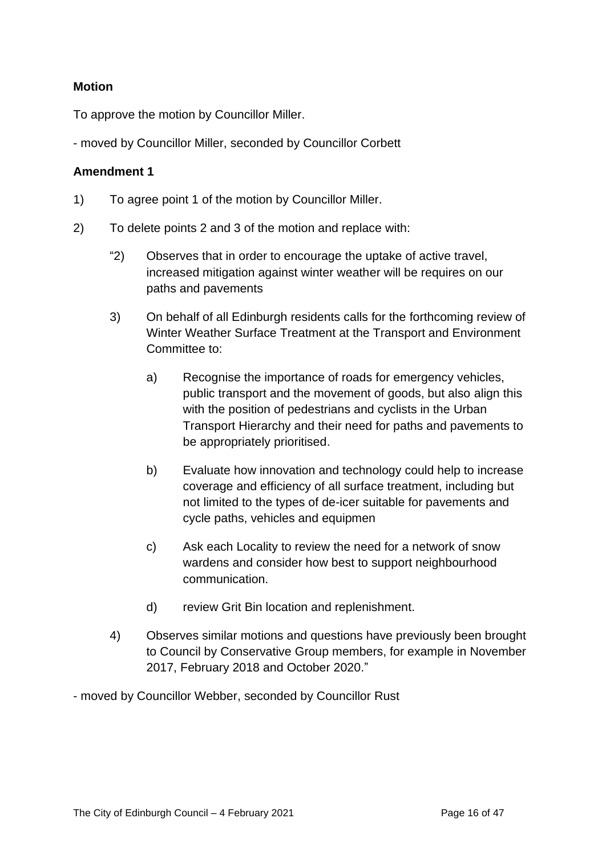#### **Motion**

To approve the motion by Councillor Miller.

- moved by Councillor Miller, seconded by Councillor Corbett

#### **Amendment 1**

- 1) To agree point 1 of the motion by Councillor Miller.
- 2) To delete points 2 and 3 of the motion and replace with:
	- "2) Observes that in order to encourage the uptake of active travel, increased mitigation against winter weather will be requires on our paths and pavements
	- 3) On behalf of all Edinburgh residents calls for the forthcoming review of Winter Weather Surface Treatment at the Transport and Environment Committee to:
		- a) Recognise the importance of roads for emergency vehicles, public transport and the movement of goods, but also align this with the position of pedestrians and cyclists in the Urban Transport Hierarchy and their need for paths and pavements to be appropriately prioritised.
		- b) Evaluate how innovation and technology could help to increase coverage and efficiency of all surface treatment, including but not limited to the types of de-icer suitable for pavements and cycle paths, vehicles and equipmen
		- c) Ask each Locality to review the need for a network of snow wardens and consider how best to support neighbourhood communication.
		- d) review Grit Bin location and replenishment.
	- 4) Observes similar motions and questions have previously been brought to Council by Conservative Group members, for example in November 2017, February 2018 and October 2020."
- moved by Councillor Webber, seconded by Councillor Rust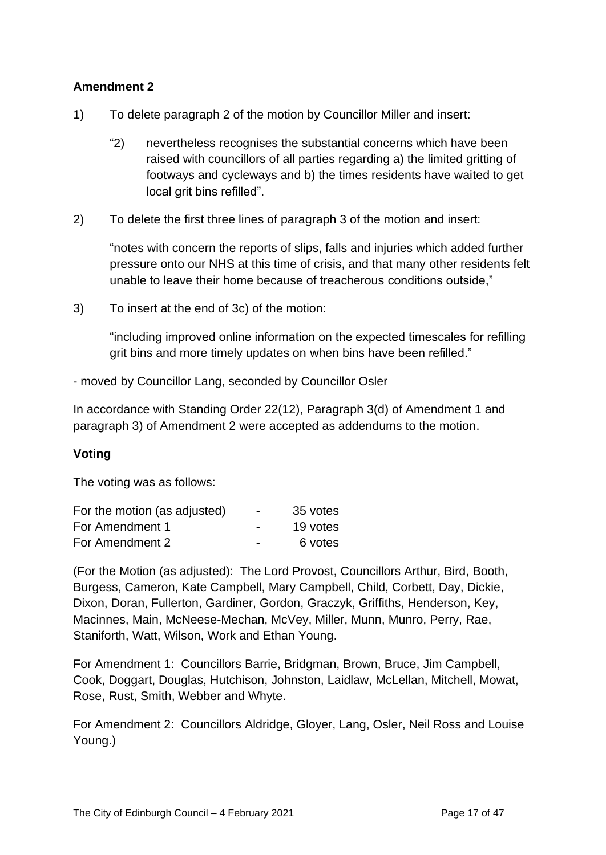#### **Amendment 2**

- 1) To delete paragraph 2 of the motion by Councillor Miller and insert:
	- "2) nevertheless recognises the substantial concerns which have been raised with councillors of all parties regarding a) the limited gritting of footways and cycleways and b) the times residents have waited to get local grit bins refilled".
- 2) To delete the first three lines of paragraph 3 of the motion and insert:

"notes with concern the reports of slips, falls and injuries which added further pressure onto our NHS at this time of crisis, and that many other residents felt unable to leave their home because of treacherous conditions outside,"

3) To insert at the end of 3c) of the motion:

"including improved online information on the expected timescales for refilling grit bins and more timely updates on when bins have been refilled."

- moved by Councillor Lang, seconded by Councillor Osler

In accordance with Standing Order 22(12), Paragraph 3(d) of Amendment 1 and paragraph 3) of Amendment 2 were accepted as addendums to the motion.

#### **Voting**

The voting was as follows:

| For the motion (as adjusted) | $\overline{\phantom{0}}$ | 35 votes |
|------------------------------|--------------------------|----------|
| For Amendment 1              | $\overline{\phantom{0}}$ | 19 votes |
| For Amendment 2              | $\overline{\phantom{0}}$ | 6 votes  |

(For the Motion (as adjusted): The Lord Provost, Councillors Arthur, Bird, Booth, Burgess, Cameron, Kate Campbell, Mary Campbell, Child, Corbett, Day, Dickie, Dixon, Doran, Fullerton, Gardiner, Gordon, Graczyk, Griffiths, Henderson, Key, Macinnes, Main, McNeese-Mechan, McVey, Miller, Munn, Munro, Perry, Rae, Staniforth, Watt, Wilson, Work and Ethan Young.

For Amendment 1: Councillors Barrie, Bridgman, Brown, Bruce, Jim Campbell, Cook, Doggart, Douglas, Hutchison, Johnston, Laidlaw, McLellan, Mitchell, Mowat, Rose, Rust, Smith, Webber and Whyte.

For Amendment 2: Councillors Aldridge, Gloyer, Lang, Osler, Neil Ross and Louise Young.)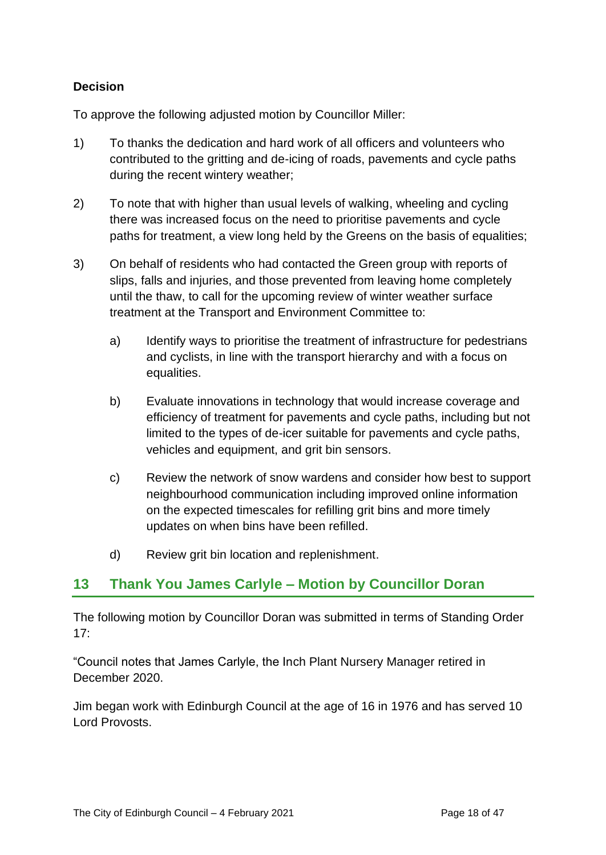### **Decision**

To approve the following adjusted motion by Councillor Miller:

- 1) To thanks the dedication and hard work of all officers and volunteers who contributed to the gritting and de-icing of roads, pavements and cycle paths during the recent wintery weather;
- 2) To note that with higher than usual levels of walking, wheeling and cycling there was increased focus on the need to prioritise pavements and cycle paths for treatment, a view long held by the Greens on the basis of equalities;
- 3) On behalf of residents who had contacted the Green group with reports of slips, falls and injuries, and those prevented from leaving home completely until the thaw, to call for the upcoming review of winter weather surface treatment at the Transport and Environment Committee to:
	- a) Identify ways to prioritise the treatment of infrastructure for pedestrians and cyclists, in line with the transport hierarchy and with a focus on equalities.
	- b) Evaluate innovations in technology that would increase coverage and efficiency of treatment for pavements and cycle paths, including but not limited to the types of de-icer suitable for pavements and cycle paths, vehicles and equipment, and grit bin sensors.
	- c) Review the network of snow wardens and consider how best to support neighbourhood communication including improved online information on the expected timescales for refilling grit bins and more timely updates on when bins have been refilled.
	- d) Review grit bin location and replenishment.

## **13 Thank You James Carlyle – Motion by Councillor Doran**

The following motion by Councillor Doran was submitted in terms of Standing Order  $17<sup>·</sup>$ 

"Council notes that James Carlyle, the Inch Plant Nursery Manager retired in December 2020.

Jim began work with Edinburgh Council at the age of 16 in 1976 and has served 10 Lord Provosts.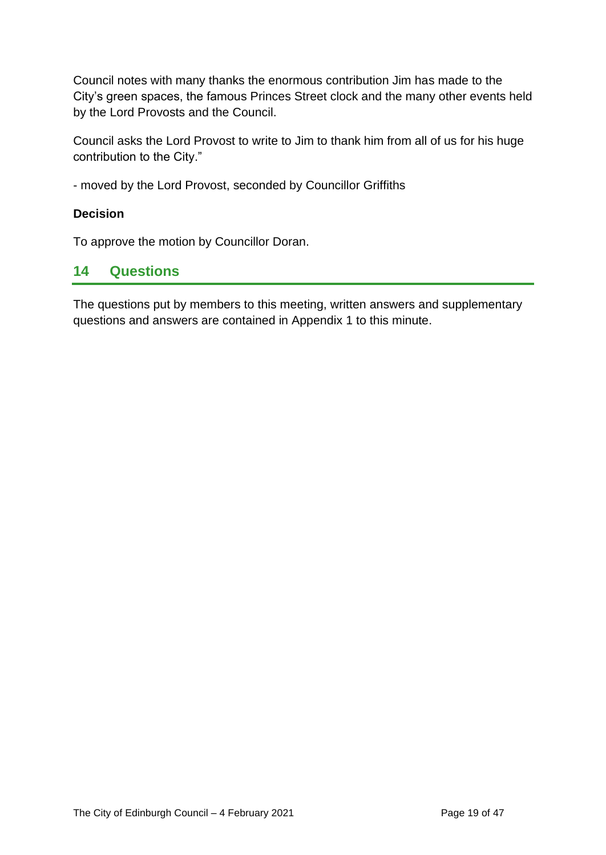Council notes with many thanks the enormous contribution Jim has made to the City's green spaces, the famous Princes Street clock and the many other events held by the Lord Provosts and the Council.

Council asks the Lord Provost to write to Jim to thank him from all of us for his huge contribution to the City."

- moved by the Lord Provost, seconded by Councillor Griffiths

#### **Decision**

To approve the motion by Councillor Doran.

## **14 Questions**

The questions put by members to this meeting, written answers and supplementary questions and answers are contained in Appendix 1 to this minute.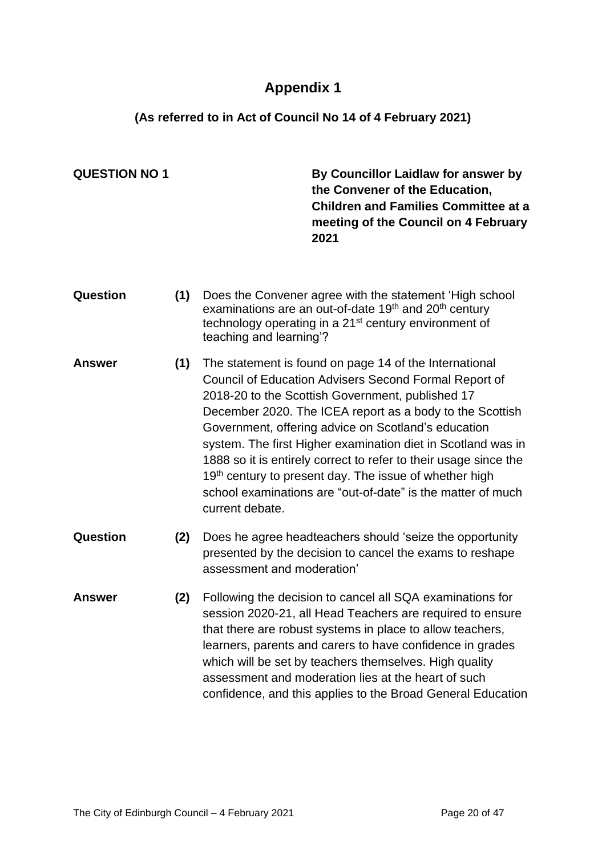## **Appendix 1**

## **(As referred to in Act of Council No 14 of 4 February 2021)**

|     | 2021                                                                                                                                                                                                                                                                                                                                                                                                                                                                                                                                                                   | By Councillor Laidlaw for answer by<br>the Convener of the Education,<br><b>Children and Families Committee at a</b><br>meeting of the Council on 4 February |
|-----|------------------------------------------------------------------------------------------------------------------------------------------------------------------------------------------------------------------------------------------------------------------------------------------------------------------------------------------------------------------------------------------------------------------------------------------------------------------------------------------------------------------------------------------------------------------------|--------------------------------------------------------------------------------------------------------------------------------------------------------------|
| (1) | Does the Convener agree with the statement 'High school<br>examinations are an out-of-date 19 <sup>th</sup> and 20 <sup>th</sup> century<br>technology operating in a 21 <sup>st</sup> century environment of<br>teaching and learning'?                                                                                                                                                                                                                                                                                                                               |                                                                                                                                                              |
| (1) | The statement is found on page 14 of the International<br>Council of Education Advisers Second Formal Report of<br>2018-20 to the Scottish Government, published 17<br>December 2020. The ICEA report as a body to the Scottish<br>Government, offering advice on Scotland's education<br>system. The first Higher examination diet in Scotland was in<br>1888 so it is entirely correct to refer to their usage since the<br>19th century to present day. The issue of whether high<br>school examinations are "out-of-date" is the matter of much<br>current debate. |                                                                                                                                                              |
| (2) | Does he agree headteachers should 'seize the opportunity<br>presented by the decision to cancel the exams to reshape<br>assessment and moderation'                                                                                                                                                                                                                                                                                                                                                                                                                     |                                                                                                                                                              |
| (2) | Following the decision to cancel all SQA examinations for<br>session 2020-21, all Head Teachers are required to ensure<br>that there are robust systems in place to allow teachers,<br>learners, parents and carers to have confidence in grades<br>which will be set by teachers themselves. High quality<br>assessment and moderation lies at the heart of such<br>confidence, and this applies to the Broad General Education                                                                                                                                       |                                                                                                                                                              |
|     |                                                                                                                                                                                                                                                                                                                                                                                                                                                                                                                                                                        |                                                                                                                                                              |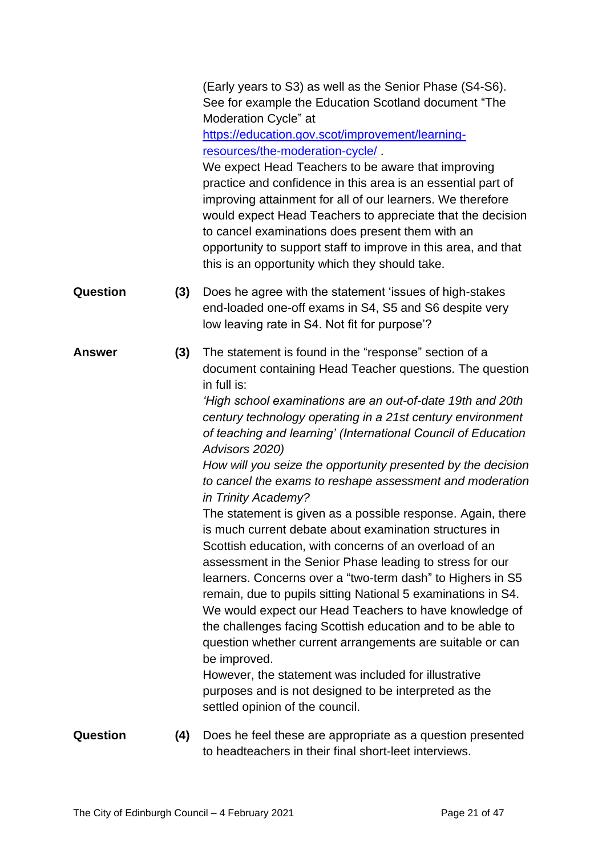(Early years to S3) as well as the Senior Phase (S4-S6). See for example the Education Scotland document "The Moderation Cycle" at

[https://education.gov.scot/improvement/learning](https://education.gov.scot/improvement/learning-resources/the-moderation-cycle/)[resources/the-moderation-cycle/](https://education.gov.scot/improvement/learning-resources/the-moderation-cycle/) .

We expect Head Teachers to be aware that improving practice and confidence in this area is an essential part of improving attainment for all of our learners. We therefore would expect Head Teachers to appreciate that the decision to cancel examinations does present them with an opportunity to support staff to improve in this area, and that this is an opportunity which they should take.

- **Question (3)** Does he agree with the statement 'issues of high-stakes end-loaded one-off exams in S4, S5 and S6 despite very low leaving rate in S4. Not fit for purpose'?
- **Answer (3)** The statement is found in the "response" section of a document containing Head Teacher questions. The question in full is:

*'High school examinations are an out-of-date 19th and 20th century technology operating in a 21st century environment of teaching and learning' (International Council of Education Advisors 2020)*

*How will you seize the opportunity presented by the decision to cancel the exams to reshape assessment and moderation in Trinity Academy?*

The statement is given as a possible response. Again, there is much current debate about examination structures in Scottish education, with concerns of an overload of an assessment in the Senior Phase leading to stress for our learners. Concerns over a "two-term dash" to Highers in S5 remain, due to pupils sitting National 5 examinations in S4. We would expect our Head Teachers to have knowledge of the challenges facing Scottish education and to be able to question whether current arrangements are suitable or can be improved.

However, the statement was included for illustrative purposes and is not designed to be interpreted as the settled opinion of the council.

- **Question (4)** Does he feel these are appropriate as a question presented to headteachers in their final short-leet interviews.
-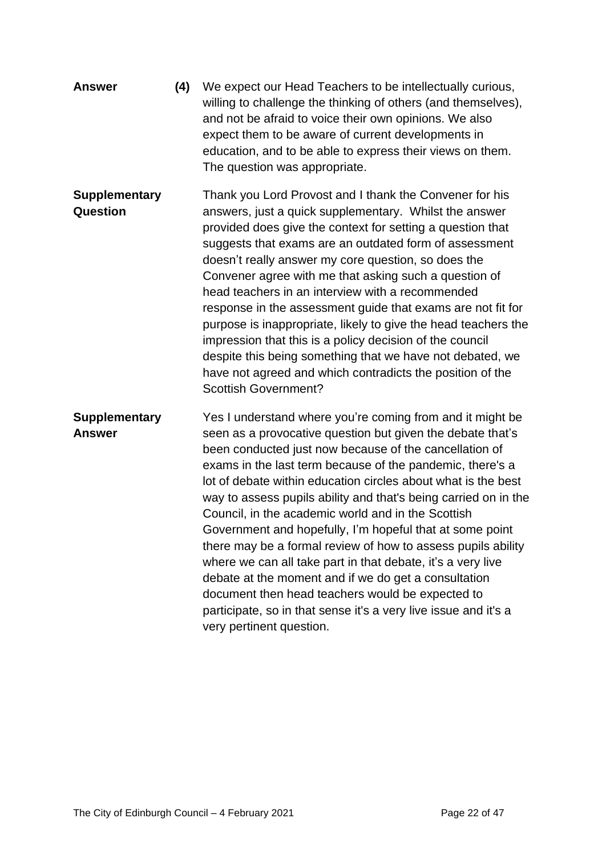| <b>Answer</b>                           | (4) | We expect our Head Teachers to be intellectually curious,<br>willing to challenge the thinking of others (and themselves),<br>and not be afraid to voice their own opinions. We also<br>expect them to be aware of current developments in<br>education, and to be able to express their views on them.<br>The question was appropriate.                                                                                                                                                                                                                                                                                                                                                                                                                                                                                                       |
|-----------------------------------------|-----|------------------------------------------------------------------------------------------------------------------------------------------------------------------------------------------------------------------------------------------------------------------------------------------------------------------------------------------------------------------------------------------------------------------------------------------------------------------------------------------------------------------------------------------------------------------------------------------------------------------------------------------------------------------------------------------------------------------------------------------------------------------------------------------------------------------------------------------------|
| <b>Supplementary</b><br><b>Question</b> |     | Thank you Lord Provost and I thank the Convener for his<br>answers, just a quick supplementary. Whilst the answer<br>provided does give the context for setting a question that<br>suggests that exams are an outdated form of assessment<br>doesn't really answer my core question, so does the<br>Convener agree with me that asking such a question of<br>head teachers in an interview with a recommended<br>response in the assessment guide that exams are not fit for<br>purpose is inappropriate, likely to give the head teachers the<br>impression that this is a policy decision of the council<br>despite this being something that we have not debated, we<br>have not agreed and which contradicts the position of the<br><b>Scottish Government?</b>                                                                            |
| <b>Supplementary</b><br><b>Answer</b>   |     | Yes I understand where you're coming from and it might be<br>seen as a provocative question but given the debate that's<br>been conducted just now because of the cancellation of<br>exams in the last term because of the pandemic, there's a<br>lot of debate within education circles about what is the best<br>way to assess pupils ability and that's being carried on in the<br>Council, in the academic world and in the Scottish<br>Government and hopefully, I'm hopeful that at some point<br>there may be a formal review of how to assess pupils ability<br>where we can all take part in that debate, it's a very live<br>debate at the moment and if we do get a consultation<br>document then head teachers would be expected to<br>participate, so in that sense it's a very live issue and it's a<br>very pertinent question. |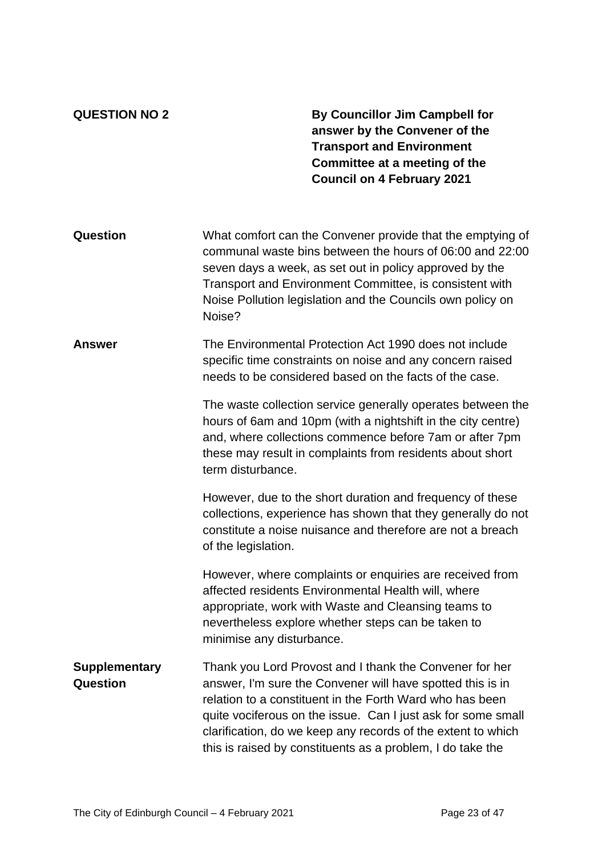**QUESTION NO 2 By Councillor Jim Campbell for answer by the Convener of the Transport and Environment Committee at a meeting of the Council on 4 February 2021**

| Question                                | What comfort can the Convener provide that the emptying of<br>communal waste bins between the hours of 06:00 and 22:00<br>seven days a week, as set out in policy approved by the<br>Transport and Environment Committee, is consistent with<br>Noise Pollution legislation and the Councils own policy on<br>Noise?                                                            |
|-----------------------------------------|---------------------------------------------------------------------------------------------------------------------------------------------------------------------------------------------------------------------------------------------------------------------------------------------------------------------------------------------------------------------------------|
| Answer                                  | The Environmental Protection Act 1990 does not include<br>specific time constraints on noise and any concern raised<br>needs to be considered based on the facts of the case.<br>The waste collection service generally operates between the<br>hours of 6am and 10pm (with a nightshift in the city centre)                                                                    |
|                                         | and, where collections commence before 7am or after 7pm<br>these may result in complaints from residents about short<br>term disturbance.                                                                                                                                                                                                                                       |
|                                         | However, due to the short duration and frequency of these<br>collections, experience has shown that they generally do not<br>constitute a noise nuisance and therefore are not a breach<br>of the legislation.                                                                                                                                                                  |
|                                         | However, where complaints or enquiries are received from<br>affected residents Environmental Health will, where<br>appropriate, work with Waste and Cleansing teams to<br>nevertheless explore whether steps can be taken to<br>minimise any disturbance.                                                                                                                       |
| <b>Supplementary</b><br><b>Question</b> | Thank you Lord Provost and I thank the Convener for her<br>answer, I'm sure the Convener will have spotted this is in<br>relation to a constituent in the Forth Ward who has been<br>quite vociferous on the issue. Can I just ask for some small<br>clarification, do we keep any records of the extent to which<br>this is raised by constituents as a problem, I do take the |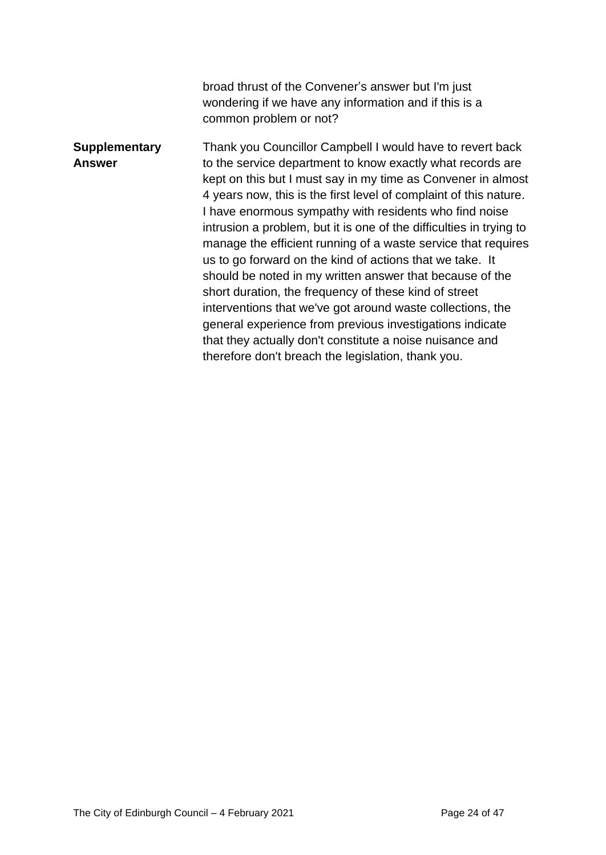|                                       | broad thrust of the Convener's answer but I'm just<br>wondering if we have any information and if this is a<br>common problem or not?                                                                                                                                                                                                                                                                                                                                                                                                                                                                                                                                                                                                                                                                                                                                                       |
|---------------------------------------|---------------------------------------------------------------------------------------------------------------------------------------------------------------------------------------------------------------------------------------------------------------------------------------------------------------------------------------------------------------------------------------------------------------------------------------------------------------------------------------------------------------------------------------------------------------------------------------------------------------------------------------------------------------------------------------------------------------------------------------------------------------------------------------------------------------------------------------------------------------------------------------------|
| <b>Supplementary</b><br><b>Answer</b> | Thank you Councillor Campbell I would have to revert back<br>to the service department to know exactly what records are<br>kept on this but I must say in my time as Convener in almost<br>4 years now, this is the first level of complaint of this nature.<br>I have enormous sympathy with residents who find noise<br>intrusion a problem, but it is one of the difficulties in trying to<br>manage the efficient running of a waste service that requires<br>us to go forward on the kind of actions that we take. It<br>should be noted in my written answer that because of the<br>short duration, the frequency of these kind of street<br>interventions that we've got around waste collections, the<br>general experience from previous investigations indicate<br>that they actually don't constitute a noise nuisance and<br>therefore don't breach the legislation, thank you. |
|                                       |                                                                                                                                                                                                                                                                                                                                                                                                                                                                                                                                                                                                                                                                                                                                                                                                                                                                                             |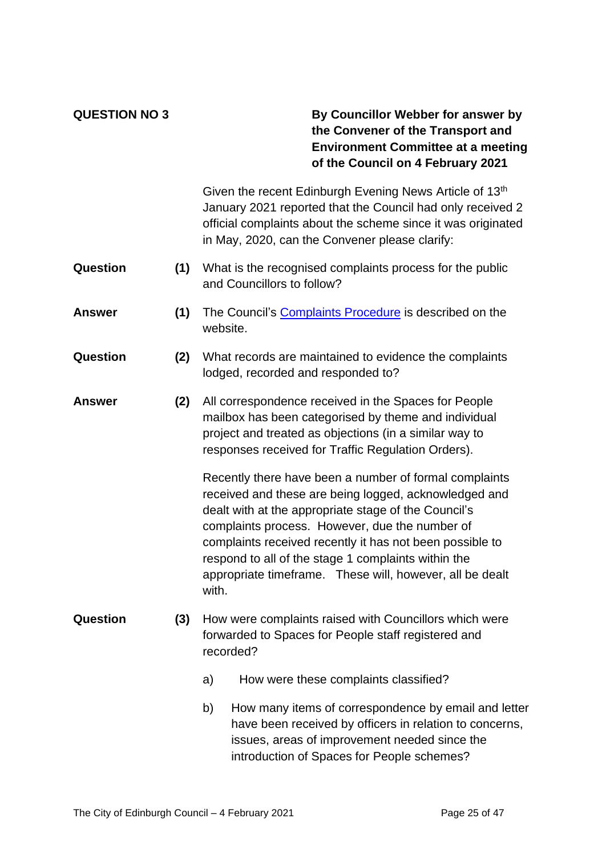### **QUESTION NO 3 By Councillor Webber for answer by the Convener of the Transport and Environment Committee at a meeting of the Council on 4 February 2021**

|                 |     | Given the recent Edinburgh Evening News Article of 13th<br>January 2021 reported that the Council had only received 2<br>official complaints about the scheme since it was originated<br>in May, 2020, can the Convener please clarify:                                                                                                                                                                           |
|-----------------|-----|-------------------------------------------------------------------------------------------------------------------------------------------------------------------------------------------------------------------------------------------------------------------------------------------------------------------------------------------------------------------------------------------------------------------|
| <b>Question</b> | (1) | What is the recognised complaints process for the public<br>and Councillors to follow?                                                                                                                                                                                                                                                                                                                            |
| Answer          | (1) | The Council's Complaints Procedure is described on the<br>website.                                                                                                                                                                                                                                                                                                                                                |
| Question        | (2) | What records are maintained to evidence the complaints<br>lodged, recorded and responded to?                                                                                                                                                                                                                                                                                                                      |
| <b>Answer</b>   | (2) | All correspondence received in the Spaces for People<br>mailbox has been categorised by theme and individual<br>project and treated as objections (in a similar way to<br>responses received for Traffic Regulation Orders).                                                                                                                                                                                      |
|                 |     | Recently there have been a number of formal complaints<br>received and these are being logged, acknowledged and<br>dealt with at the appropriate stage of the Council's<br>complaints process. However, due the number of<br>complaints received recently it has not been possible to<br>respond to all of the stage 1 complaints within the<br>appropriate timeframe. These will, however, all be dealt<br>with. |
| Question        | (3) | How were complaints raised with Councillors which were<br>forwarded to Spaces for People staff registered and<br>recorded?                                                                                                                                                                                                                                                                                        |
|                 |     | How were these complaints classified?<br>a)                                                                                                                                                                                                                                                                                                                                                                       |

b) How many items of correspondence by email and letter have been received by officers in relation to concerns, issues, areas of improvement needed since the introduction of Spaces for People schemes?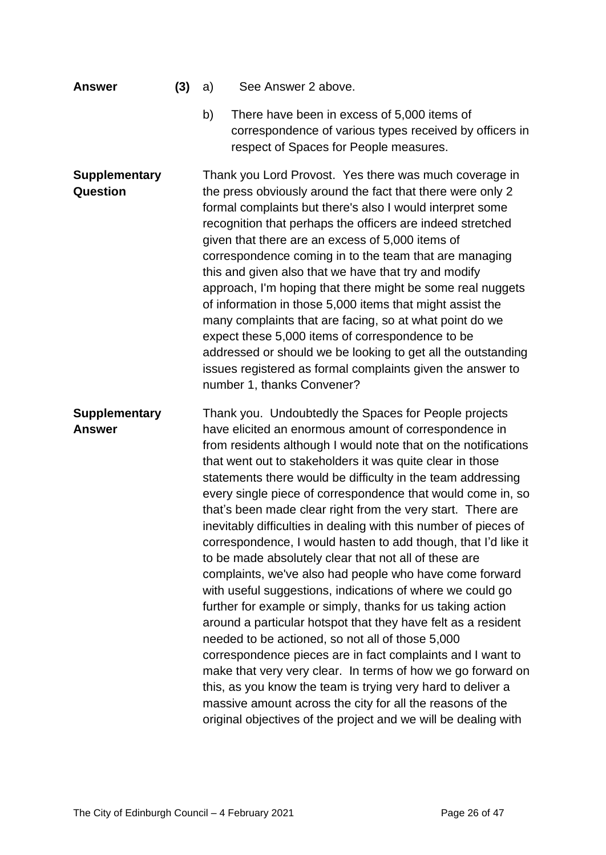| <b>Answer</b>                           | (3) | See Answer 2 above.<br>a)                                                                                                                                                                                                                                                                                                                                                                                                                                                                                                                                                                                                                                                                                                                                                                                                                                                                                                                                                                                                                                                                                                                                                                                                                                                       |
|-----------------------------------------|-----|---------------------------------------------------------------------------------------------------------------------------------------------------------------------------------------------------------------------------------------------------------------------------------------------------------------------------------------------------------------------------------------------------------------------------------------------------------------------------------------------------------------------------------------------------------------------------------------------------------------------------------------------------------------------------------------------------------------------------------------------------------------------------------------------------------------------------------------------------------------------------------------------------------------------------------------------------------------------------------------------------------------------------------------------------------------------------------------------------------------------------------------------------------------------------------------------------------------------------------------------------------------------------------|
|                                         |     | b)<br>There have been in excess of 5,000 items of<br>correspondence of various types received by officers in<br>respect of Spaces for People measures.                                                                                                                                                                                                                                                                                                                                                                                                                                                                                                                                                                                                                                                                                                                                                                                                                                                                                                                                                                                                                                                                                                                          |
| <b>Supplementary</b><br><b>Question</b> |     | Thank you Lord Provost. Yes there was much coverage in<br>the press obviously around the fact that there were only 2<br>formal complaints but there's also I would interpret some<br>recognition that perhaps the officers are indeed stretched<br>given that there are an excess of 5,000 items of<br>correspondence coming in to the team that are managing<br>this and given also that we have that try and modify<br>approach, I'm hoping that there might be some real nuggets<br>of information in those 5,000 items that might assist the<br>many complaints that are facing, so at what point do we<br>expect these 5,000 items of correspondence to be<br>addressed or should we be looking to get all the outstanding<br>issues registered as formal complaints given the answer to<br>number 1, thanks Convener?                                                                                                                                                                                                                                                                                                                                                                                                                                                     |
| <b>Supplementary</b><br><b>Answer</b>   |     | Thank you. Undoubtedly the Spaces for People projects<br>have elicited an enormous amount of correspondence in<br>from residents although I would note that on the notifications<br>that went out to stakeholders it was quite clear in those<br>statements there would be difficulty in the team addressing<br>every single piece of correspondence that would come in, so<br>that's been made clear right from the very start. There are<br>inevitably difficulties in dealing with this number of pieces of<br>correspondence, I would hasten to add though, that I'd like it<br>to be made absolutely clear that not all of these are<br>complaints, we've also had people who have come forward<br>with useful suggestions, indications of where we could go<br>further for example or simply, thanks for us taking action<br>around a particular hotspot that they have felt as a resident<br>needed to be actioned, so not all of those 5,000<br>correspondence pieces are in fact complaints and I want to<br>make that very very clear. In terms of how we go forward on<br>this, as you know the team is trying very hard to deliver a<br>massive amount across the city for all the reasons of the<br>original objectives of the project and we will be dealing with |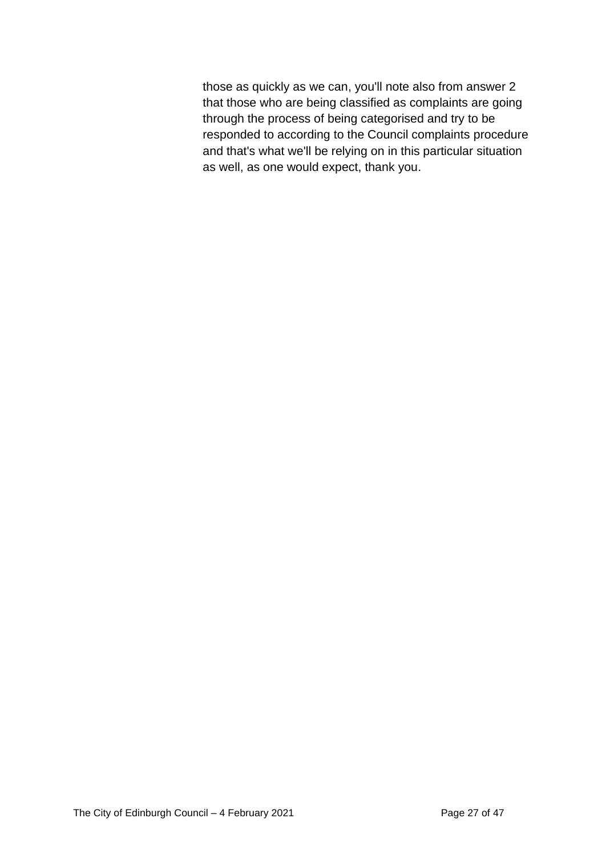those as quickly as we can, you'll note also from answer 2 that those who are being classified as complaints are going through the process of being categorised and try to be responded to according to the Council complaints procedure and that's what we'll be relying on in this particular situation as well, as one would expect, thank you.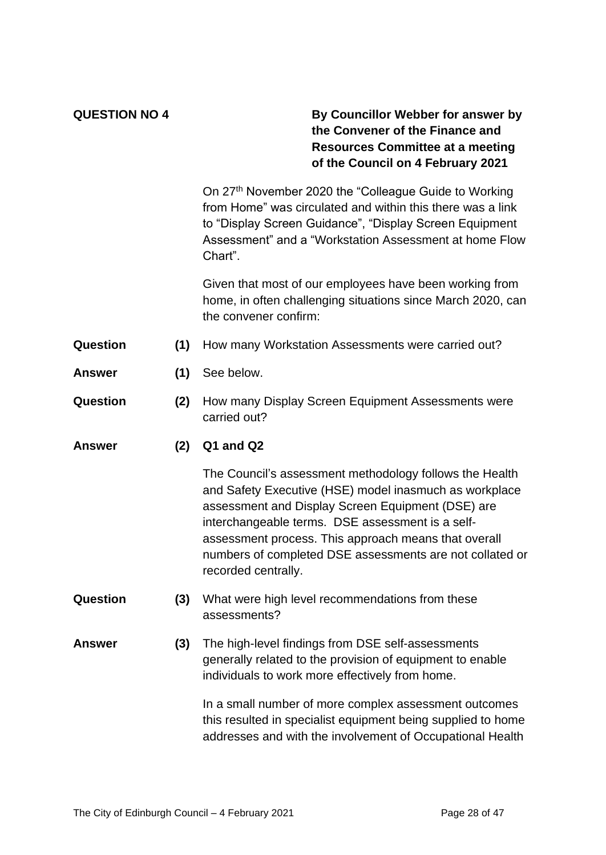### **QUESTION NO 4 By Councillor Webber for answer by the Convener of the Finance and Resources Committee at a meeting of the Council on 4 February 2021**

On 27th November 2020 the "Colleague Guide to Working from Home" was circulated and within this there was a link to "Display Screen Guidance", "Display Screen Equipment Assessment" and a "Workstation Assessment at home Flow Chart".

Given that most of our employees have been working from home, in often challenging situations since March 2020, can the convener confirm:

- **Question (1)** How many Workstation Assessments were carried out?
- **Answer (1)** See below.
- **Question (2)** How many Display Screen Equipment Assessments were carried out?
- **Answer (2) Q1 and Q2**

The Council's assessment methodology follows the Health and Safety Executive (HSE) model inasmuch as workplace assessment and Display Screen Equipment (DSE) are interchangeable terms. DSE assessment is a selfassessment process. This approach means that overall numbers of completed DSE assessments are not collated or recorded centrally.

- **Question (3)** What were high level recommendations from these assessments?
- **Answer (3)** The high-level findings from DSE self-assessments generally related to the provision of equipment to enable individuals to work more effectively from home.

In a small number of more complex assessment outcomes this resulted in specialist equipment being supplied to home addresses and with the involvement of Occupational Health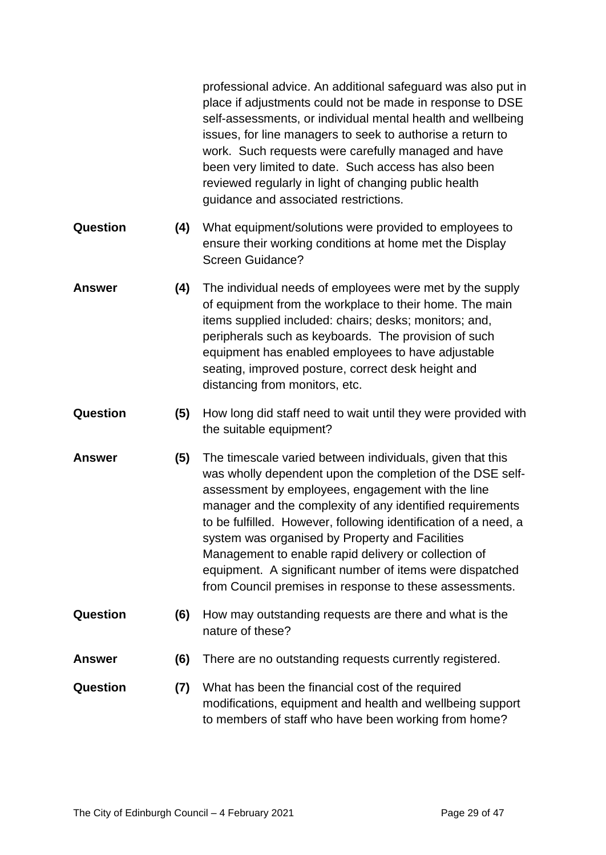professional advice. An additional safeguard was also put in place if adjustments could not be made in response to DSE self-assessments, or individual mental health and wellbeing issues, for line managers to seek to authorise a return to work. Such requests were carefully managed and have been very limited to date. Such access has also been reviewed regularly in light of changing public health guidance and associated restrictions.

- **Question (4)** What equipment/solutions were provided to employees to ensure their working conditions at home met the Display Screen Guidance?
- **Answer (4)** The individual needs of employees were met by the supply of equipment from the workplace to their home. The main items supplied included: chairs; desks; monitors; and, peripherals such as keyboards. The provision of such equipment has enabled employees to have adjustable seating, improved posture, correct desk height and distancing from monitors, etc.
- **Question (5)** How long did staff need to wait until they were provided with the suitable equipment?
- **Answer (5)** The timescale varied between individuals, given that this was wholly dependent upon the completion of the DSE selfassessment by employees, engagement with the line manager and the complexity of any identified requirements to be fulfilled. However, following identification of a need, a system was organised by Property and Facilities Management to enable rapid delivery or collection of equipment. A significant number of items were dispatched from Council premises in response to these assessments.
- **Question (6)** How may outstanding requests are there and what is the nature of these?
- **Answer (6)** There are no outstanding requests currently registered.
- **Question (7)** What has been the financial cost of the required modifications, equipment and health and wellbeing support to members of staff who have been working from home?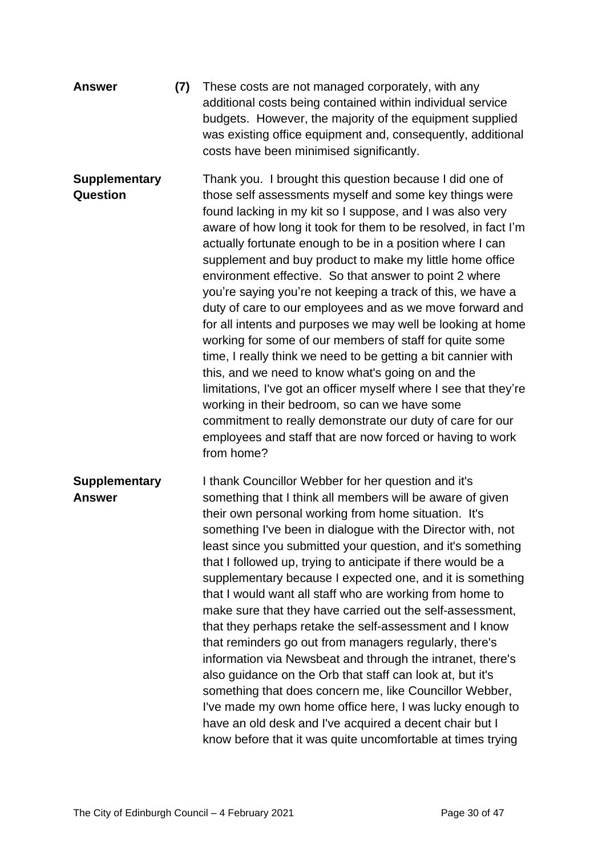| <b>Answer</b>                           | (7) | These costs are not managed corporately, with any<br>additional costs being contained within individual service<br>budgets. However, the majority of the equipment supplied<br>was existing office equipment and, consequently, additional<br>costs have been minimised significantly.                                                                                                                                                                                                                                                                                                                                                                                                                                                                                                                                                                                                                                                                                                                                                                                      |
|-----------------------------------------|-----|-----------------------------------------------------------------------------------------------------------------------------------------------------------------------------------------------------------------------------------------------------------------------------------------------------------------------------------------------------------------------------------------------------------------------------------------------------------------------------------------------------------------------------------------------------------------------------------------------------------------------------------------------------------------------------------------------------------------------------------------------------------------------------------------------------------------------------------------------------------------------------------------------------------------------------------------------------------------------------------------------------------------------------------------------------------------------------|
| <b>Supplementary</b><br><b>Question</b> |     | Thank you. I brought this question because I did one of<br>those self assessments myself and some key things were<br>found lacking in my kit so I suppose, and I was also very<br>aware of how long it took for them to be resolved, in fact I'm<br>actually fortunate enough to be in a position where I can<br>supplement and buy product to make my little home office<br>environment effective. So that answer to point 2 where<br>you're saying you're not keeping a track of this, we have a<br>duty of care to our employees and as we move forward and<br>for all intents and purposes we may well be looking at home<br>working for some of our members of staff for quite some<br>time, I really think we need to be getting a bit cannier with<br>this, and we need to know what's going on and the<br>limitations, I've got an officer myself where I see that they're<br>working in their bedroom, so can we have some<br>commitment to really demonstrate our duty of care for our<br>employees and staff that are now forced or having to work<br>from home? |
| <b>Supplementary</b><br><b>Answer</b>   |     | I thank Councillor Webber for her question and it's<br>something that I think all members will be aware of given<br>their own personal working from home situation. It's<br>something I've been in dialogue with the Director with, not<br>least since you submitted your question, and it's something<br>that I followed up, trying to anticipate if there would be a<br>supplementary because I expected one, and it is something<br>that I would want all staff who are working from home to<br>make sure that they have carried out the self-assessment,<br>that they perhaps retake the self-assessment and I know<br>that reminders go out from managers regularly, there's<br>information via Newsbeat and through the intranet, there's<br>also guidance on the Orb that staff can look at, but it's<br>something that does concern me, like Councillor Webber,<br>I've made my own home office here, I was lucky enough to<br>have an old desk and I've acquired a decent chair but I<br>know before that it was quite uncomfortable at times trying               |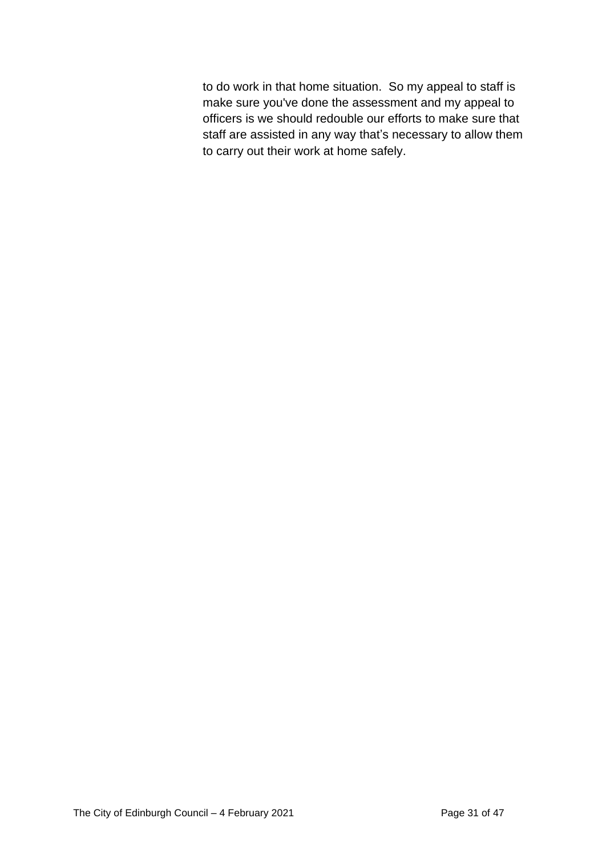to do work in that home situation. So my appeal to staff is make sure you've done the assessment and my appeal to officers is we should redouble our efforts to make sure that staff are assisted in any way that's necessary to allow them to carry out their work at home safely.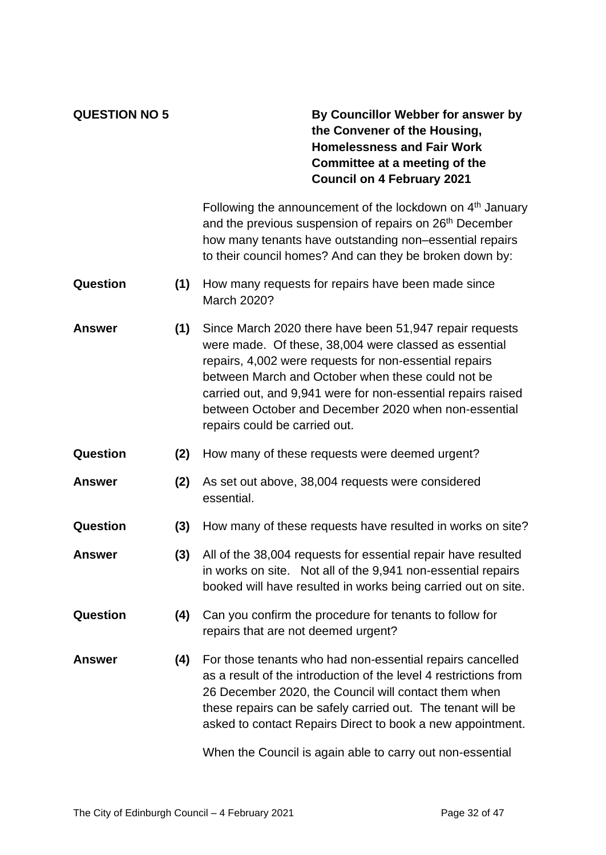### **QUESTION NO 5 By Councillor Webber for answer by the Convener of the Housing, Homelessness and Fair Work Committee at a meeting of the Council on 4 February 2021**

Following the announcement of the lockdown on 4<sup>th</sup> January and the previous suspension of repairs on 26<sup>th</sup> December how many tenants have outstanding non–essential repairs to their council homes? And can they be broken down by:

- **Question (1)** How many requests for repairs have been made since March 2020?
- **Answer (1)** Since March 2020 there have been 51,947 repair requests were made. Of these, 38,004 were classed as essential repairs, 4,002 were requests for non-essential repairs between March and October when these could not be carried out, and 9,941 were for non-essential repairs raised between October and December 2020 when non-essential repairs could be carried out.
- **Question (2)** How many of these requests were deemed urgent?
- **Answer (2)** As set out above, 38,004 requests were considered essential.
- **Question (3)** How many of these requests have resulted in works on site?
- **Answer (3)** All of the 38,004 requests for essential repair have resulted in works on site. Not all of the 9,941 non-essential repairs booked will have resulted in works being carried out on site.
- **Question (4)** Can you confirm the procedure for tenants to follow for repairs that are not deemed urgent?
- **Answer (4)** For those tenants who had non-essential repairs cancelled as a result of the introduction of the level 4 restrictions from 26 December 2020, the Council will contact them when these repairs can be safely carried out. The tenant will be asked to contact Repairs Direct to book a new appointment.

When the Council is again able to carry out non-essential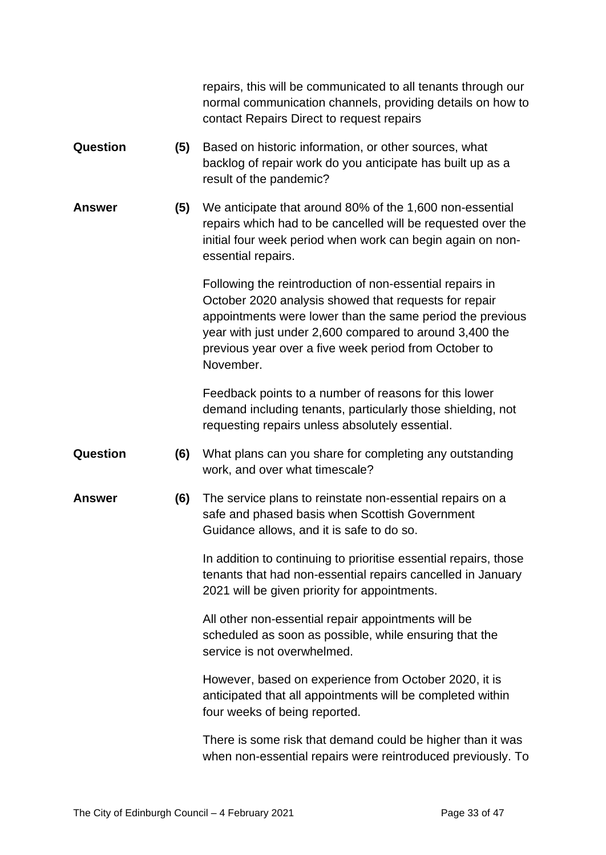|               |     | repairs, this will be communicated to all tenants through our<br>normal communication channels, providing details on how to<br>contact Repairs Direct to request repairs                                                                                                                                        |
|---------------|-----|-----------------------------------------------------------------------------------------------------------------------------------------------------------------------------------------------------------------------------------------------------------------------------------------------------------------|
| Question      | (5) | Based on historic information, or other sources, what<br>backlog of repair work do you anticipate has built up as a<br>result of the pandemic?                                                                                                                                                                  |
| <b>Answer</b> | (5) | We anticipate that around 80% of the 1,600 non-essential<br>repairs which had to be cancelled will be requested over the<br>initial four week period when work can begin again on non-<br>essential repairs.                                                                                                    |
|               |     | Following the reintroduction of non-essential repairs in<br>October 2020 analysis showed that requests for repair<br>appointments were lower than the same period the previous<br>year with just under 2,600 compared to around 3,400 the<br>previous year over a five week period from October to<br>November. |
|               |     | Feedback points to a number of reasons for this lower<br>demand including tenants, particularly those shielding, not<br>requesting repairs unless absolutely essential.                                                                                                                                         |
| Question      | (6) | What plans can you share for completing any outstanding<br>work, and over what timescale?                                                                                                                                                                                                                       |
| <b>Answer</b> | (6) | The service plans to reinstate non-essential repairs on a<br>safe and phased basis when Scottish Government<br>Guidance allows, and it is safe to do so.                                                                                                                                                        |
|               |     | In addition to continuing to prioritise essential repairs, those<br>tenants that had non-essential repairs cancelled in January<br>2021 will be given priority for appointments.                                                                                                                                |
|               |     | All other non-essential repair appointments will be<br>scheduled as soon as possible, while ensuring that the<br>service is not overwhelmed.                                                                                                                                                                    |
|               |     | However, based on experience from October 2020, it is<br>anticipated that all appointments will be completed within<br>four weeks of being reported.                                                                                                                                                            |
|               |     | There is some risk that demand could be higher than it was<br>when non-essential repairs were reintroduced previously. To                                                                                                                                                                                       |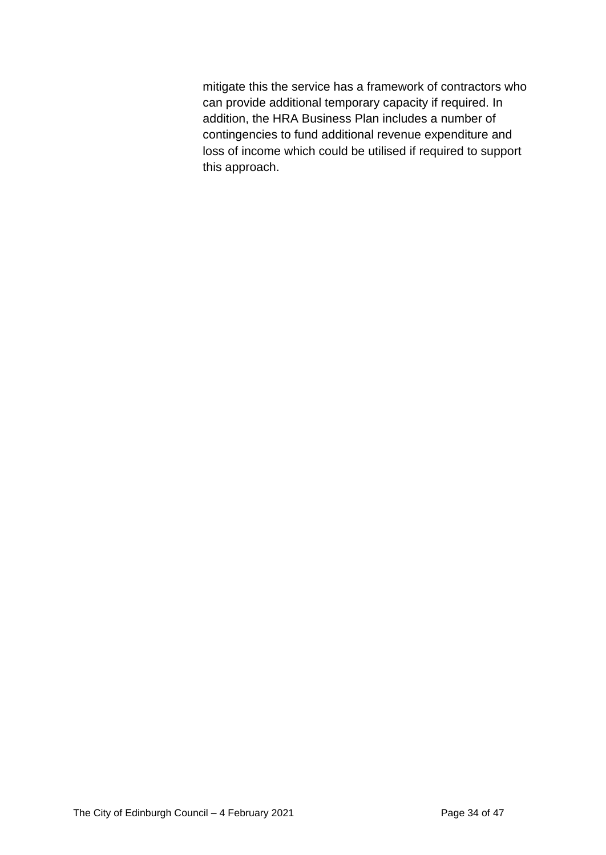mitigate this the service has a framework of contractors who can provide additional temporary capacity if required. In addition, the HRA Business Plan includes a number of contingencies to fund additional revenue expenditure and loss of income which could be utilised if required to support this approach.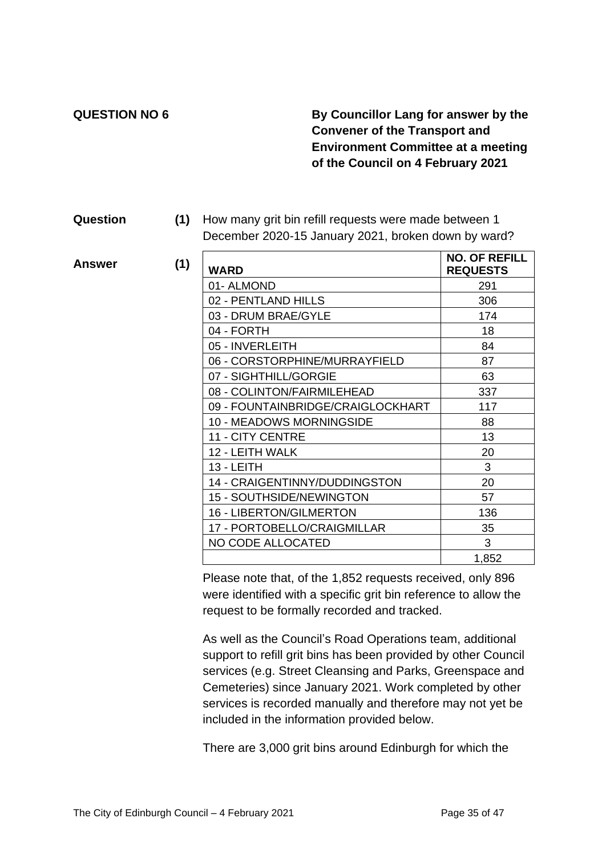$Answer$ 

### **QUESTION NO 6 By Councillor Lang for answer by the Convener of the Transport and Environment Committee at a meeting of the Council on 4 February 2021**

#### **Question (1)** How many grit bin refill requests were made between 1 December 2020-15 January 2021, broken down by ward?

| (1) | <b>WARD</b>                       | <b>NO. OF REFILL</b><br><b>REQUESTS</b> |
|-----|-----------------------------------|-----------------------------------------|
|     | 01-ALMOND                         | 291                                     |
|     | 02 - PENTLAND HILLS               | 306                                     |
|     | 03 - DRUM BRAE/GYLE               | 174                                     |
|     | 04 - FORTH                        | 18                                      |
|     | 05 - INVERLEITH                   | 84                                      |
|     | 06 - CORSTORPHINE/MURRAYFIELD     | 87                                      |
|     | 07 - SIGHTHILL/GORGIE             | 63                                      |
|     | 08 - COLINTON/FAIRMILEHEAD        | 337                                     |
|     | 09 - FOUNTAINBRIDGE/CRAIGLOCKHART | 117                                     |
|     | 10 - MEADOWS MORNINGSIDE          | 88                                      |
|     | <b>11 - CITY CENTRE</b>           | 13                                      |
|     | 12 - LEITH WALK                   | 20                                      |
|     | $13 - LEITH$                      | 3                                       |
|     | 14 - CRAIGENTINNY/DUDDINGSTON     | 20                                      |
|     | <b>15 - SOUTHSIDE/NEWINGTON</b>   | 57                                      |
|     | <b>16 - LIBERTON/GILMERTON</b>    | 136                                     |
|     | 17 - PORTOBELLO/CRAIGMILLAR       | 35                                      |
|     | NO CODE ALLOCATED                 | 3                                       |
|     |                                   | 1,852                                   |

Please note that, of the 1,852 requests received, only 896 were identified with a specific grit bin reference to allow the request to be formally recorded and tracked.

As well as the Council's Road Operations team, additional support to refill grit bins has been provided by other Council services (e.g. Street Cleansing and Parks, Greenspace and Cemeteries) since January 2021. Work completed by other services is recorded manually and therefore may not yet be included in the information provided below.

There are 3,000 grit bins around Edinburgh for which the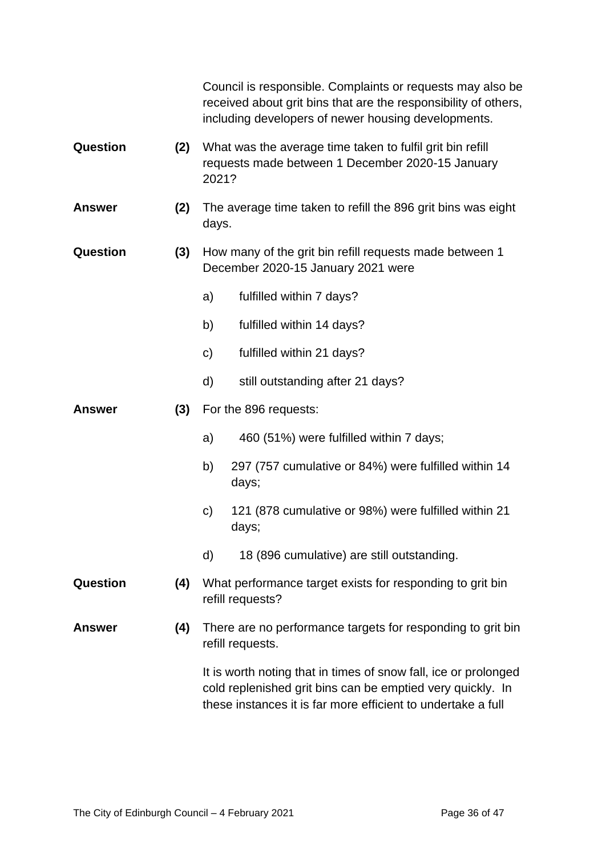|                 |     | Council is responsible. Complaints or requests may also be<br>received about grit bins that are the responsibility of others,<br>including developers of newer housing developments.          |
|-----------------|-----|-----------------------------------------------------------------------------------------------------------------------------------------------------------------------------------------------|
| Question        | (2) | What was the average time taken to fulfil grit bin refill<br>requests made between 1 December 2020-15 January<br>2021?                                                                        |
| <b>Answer</b>   | (2) | The average time taken to refill the 896 grit bins was eight<br>days.                                                                                                                         |
| Question        | (3) | How many of the grit bin refill requests made between 1<br>December 2020-15 January 2021 were                                                                                                 |
|                 |     | a)<br>fulfilled within 7 days?                                                                                                                                                                |
|                 |     | b)<br>fulfilled within 14 days?                                                                                                                                                               |
|                 |     | fulfilled within 21 days?<br>$\mathsf{C}$                                                                                                                                                     |
|                 |     | still outstanding after 21 days?<br>d)                                                                                                                                                        |
| <b>Answer</b>   | (3) | For the 896 requests:                                                                                                                                                                         |
|                 |     | 460 (51%) were fulfilled within 7 days;<br>a)                                                                                                                                                 |
|                 |     | b)<br>297 (757 cumulative or 84%) were fulfilled within 14<br>days;                                                                                                                           |
|                 |     | 121 (878 cumulative or 98%) were fulfilled within 21<br>C)<br>days;                                                                                                                           |
|                 |     | 18 (896 cumulative) are still outstanding.<br>d)                                                                                                                                              |
| <b>Question</b> | (4) | What performance target exists for responding to grit bin<br>refill requests?                                                                                                                 |
| <b>Answer</b>   | (4) | There are no performance targets for responding to grit bin<br>refill requests.                                                                                                               |
|                 |     | It is worth noting that in times of snow fall, ice or prolonged<br>cold replenished grit bins can be emptied very quickly. In<br>these instances it is far more efficient to undertake a full |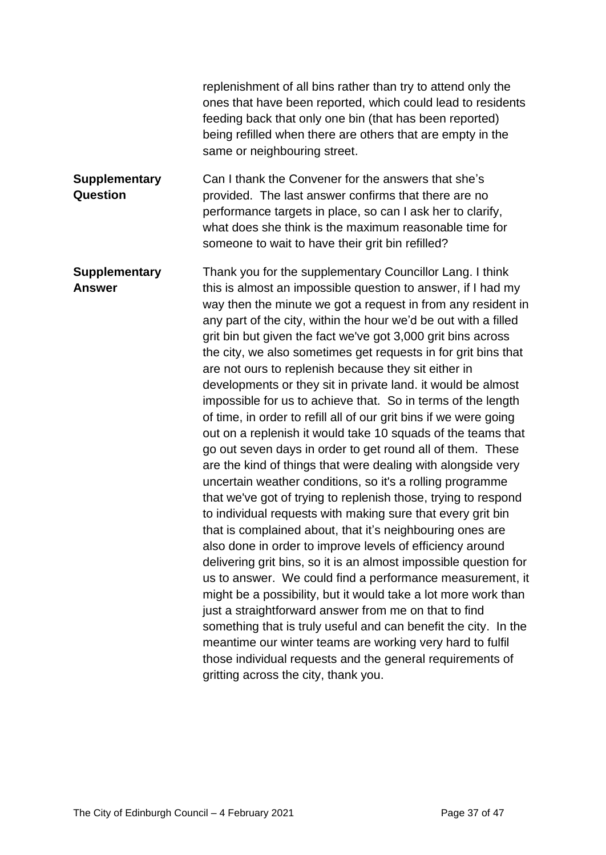|                                       | replenishment of all bins rather than try to attend only the<br>ones that have been reported, which could lead to residents<br>feeding back that only one bin (that has been reported)<br>being refilled when there are others that are empty in the<br>same or neighbouring street.                                                                                                                                                                                                                                                                                                                                                                                                                                                                                                                                                                                                                                                                                                                                                                                                                                                                                                                                                                                                                                                                                                                                                                                                                                                                                                                                                                                              |
|---------------------------------------|-----------------------------------------------------------------------------------------------------------------------------------------------------------------------------------------------------------------------------------------------------------------------------------------------------------------------------------------------------------------------------------------------------------------------------------------------------------------------------------------------------------------------------------------------------------------------------------------------------------------------------------------------------------------------------------------------------------------------------------------------------------------------------------------------------------------------------------------------------------------------------------------------------------------------------------------------------------------------------------------------------------------------------------------------------------------------------------------------------------------------------------------------------------------------------------------------------------------------------------------------------------------------------------------------------------------------------------------------------------------------------------------------------------------------------------------------------------------------------------------------------------------------------------------------------------------------------------------------------------------------------------------------------------------------------------|
| <b>Supplementary</b><br>Question      | Can I thank the Convener for the answers that she's<br>provided. The last answer confirms that there are no<br>performance targets in place, so can I ask her to clarify,<br>what does she think is the maximum reasonable time for<br>someone to wait to have their grit bin refilled?                                                                                                                                                                                                                                                                                                                                                                                                                                                                                                                                                                                                                                                                                                                                                                                                                                                                                                                                                                                                                                                                                                                                                                                                                                                                                                                                                                                           |
| <b>Supplementary</b><br><b>Answer</b> | Thank you for the supplementary Councillor Lang. I think<br>this is almost an impossible question to answer, if I had my<br>way then the minute we got a request in from any resident in<br>any part of the city, within the hour we'd be out with a filled<br>grit bin but given the fact we've got 3,000 grit bins across<br>the city, we also sometimes get requests in for grit bins that<br>are not ours to replenish because they sit either in<br>developments or they sit in private land. it would be almost<br>impossible for us to achieve that. So in terms of the length<br>of time, in order to refill all of our grit bins if we were going<br>out on a replenish it would take 10 squads of the teams that<br>go out seven days in order to get round all of them. These<br>are the kind of things that were dealing with alongside very<br>uncertain weather conditions, so it's a rolling programme<br>that we've got of trying to replenish those, trying to respond<br>to individual requests with making sure that every grit bin<br>that is complained about, that it's neighbouring ones are<br>also done in order to improve levels of efficiency around<br>delivering grit bins, so it is an almost impossible question for<br>us to answer. We could find a performance measurement, it<br>might be a possibility, but it would take a lot more work than<br>just a straightforward answer from me on that to find<br>something that is truly useful and can benefit the city. In the<br>meantime our winter teams are working very hard to fulfil<br>those individual requests and the general requirements of<br>gritting across the city, thank you. |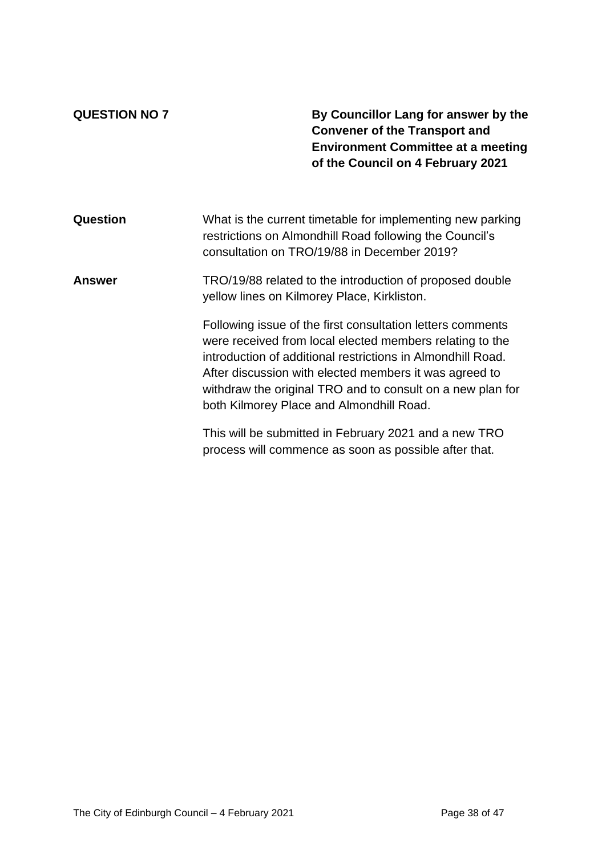**QUESTION NO 7 By Councillor Lang for answer by the Convener of the Transport and Environment Committee at a meeting of the Council on 4 February 2021**

| Question | What is the current timetable for implementing new parking<br>restrictions on Almondhill Road following the Council's<br>consultation on TRO/19/88 in December 2019?                                                                                                                                                                                      |
|----------|-----------------------------------------------------------------------------------------------------------------------------------------------------------------------------------------------------------------------------------------------------------------------------------------------------------------------------------------------------------|
| Answer   | TRO/19/88 related to the introduction of proposed double<br>yellow lines on Kilmorey Place, Kirkliston.                                                                                                                                                                                                                                                   |
|          | Following issue of the first consultation letters comments<br>were received from local elected members relating to the<br>introduction of additional restrictions in Almondhill Road.<br>After discussion with elected members it was agreed to<br>withdraw the original TRO and to consult on a new plan for<br>both Kilmorey Place and Almondhill Road. |
|          | This will be submitted in February 2021 and a new TRO<br>process will commence as soon as possible after that.                                                                                                                                                                                                                                            |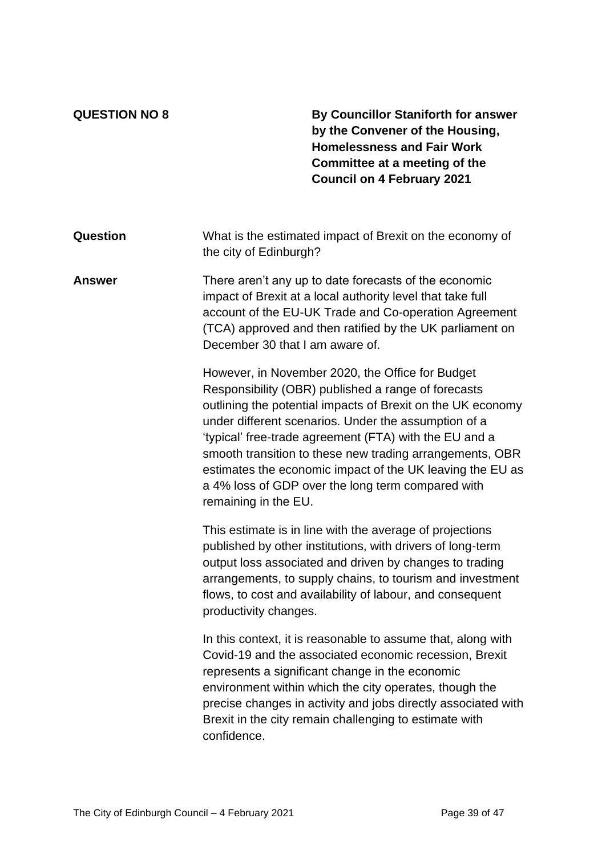**QUESTION NO 8 By Councillor Staniforth for answer by the Convener of the Housing, Homelessness and Fair Work Committee at a meeting of the Council on 4 February 2021**

| <b>Question</b> | What is the estimated impact of Brexit on the economy of<br>the city of Edinburgh?                                                                                                                                                                                                                                                                                                                                                                                                             |
|-----------------|------------------------------------------------------------------------------------------------------------------------------------------------------------------------------------------------------------------------------------------------------------------------------------------------------------------------------------------------------------------------------------------------------------------------------------------------------------------------------------------------|
| <b>Answer</b>   | There aren't any up to date forecasts of the economic<br>impact of Brexit at a local authority level that take full<br>account of the EU-UK Trade and Co-operation Agreement<br>(TCA) approved and then ratified by the UK parliament on<br>December 30 that I am aware of.                                                                                                                                                                                                                    |
|                 | However, in November 2020, the Office for Budget<br>Responsibility (OBR) published a range of forecasts<br>outlining the potential impacts of Brexit on the UK economy<br>under different scenarios. Under the assumption of a<br>'typical' free-trade agreement (FTA) with the EU and a<br>smooth transition to these new trading arrangements, OBR<br>estimates the economic impact of the UK leaving the EU as<br>a 4% loss of GDP over the long term compared with<br>remaining in the EU. |
|                 | This estimate is in line with the average of projections                                                                                                                                                                                                                                                                                                                                                                                                                                       |

This estimate is in line with the average of projections published by other institutions, with drivers of long-term output loss associated and driven by changes to trading arrangements, to supply chains, to tourism and investment flows, to cost and availability of labour, and consequent productivity changes.

In this context, it is reasonable to assume that, along with Covid-19 and the associated economic recession, Brexit represents a significant change in the economic environment within which the city operates, though the precise changes in activity and jobs directly associated with Brexit in the city remain challenging to estimate with confidence.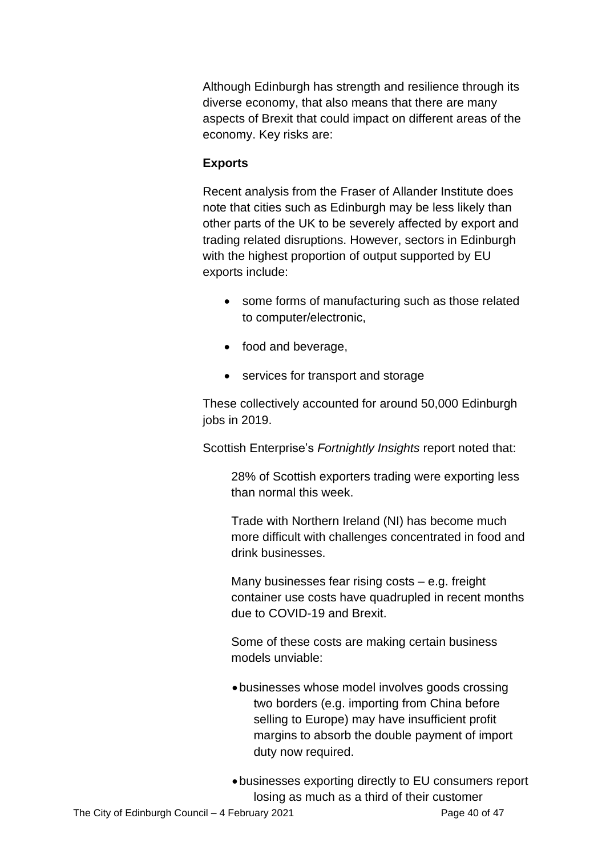Although Edinburgh has strength and resilience through its diverse economy, that also means that there are many aspects of Brexit that could impact on different areas of the economy. Key risks are:

#### **Exports**

Recent analysis from the Fraser of Allander Institute does note that cities such as Edinburgh may be less likely than other parts of the UK to be severely affected by export and trading related disruptions. However, sectors in Edinburgh with the highest proportion of output supported by EU exports include:

- some forms of manufacturing such as those related to computer/electronic,
- food and beverage,
- services for transport and storage

These collectively accounted for around 50,000 Edinburgh jobs in 2019.

Scottish Enterprise's *Fortnightly Insights* report noted that:

28% of Scottish exporters trading were exporting less than normal this week.

Trade with Northern Ireland (NI) has become much more difficult with challenges concentrated in food and drink businesses.

Many businesses fear rising costs – e.g. freight container use costs have quadrupled in recent months due to COVID-19 and Brexit.

Some of these costs are making certain business models unviable:

• businesses whose model involves goods crossing two borders (e.g. importing from China before selling to Europe) may have insufficient profit margins to absorb the double payment of import duty now required.

• businesses exporting directly to EU consumers report losing as much as a third of their customer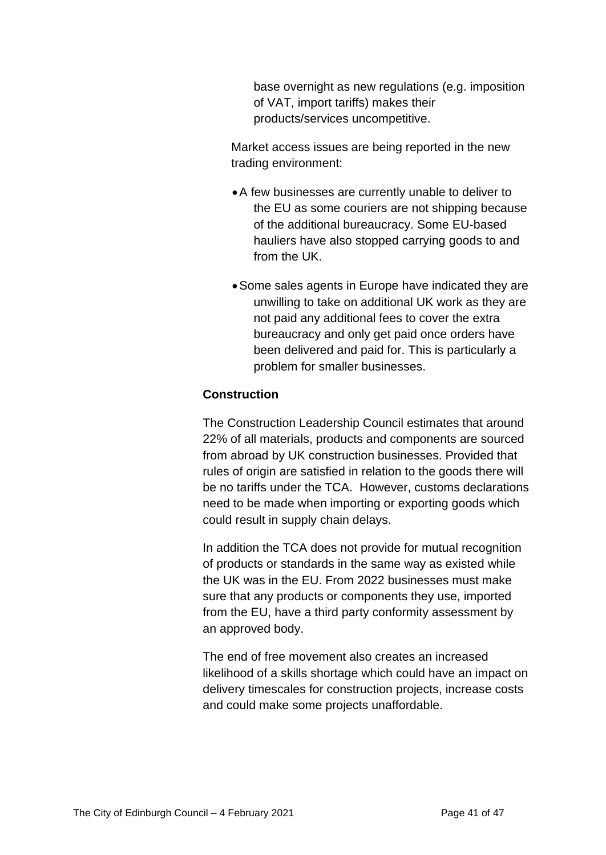base overnight as new regulations (e.g. imposition of VAT, import tariffs) makes their products/services uncompetitive.

Market access issues are being reported in the new trading environment:

- •A few businesses are currently unable to deliver to the EU as some couriers are not shipping because of the additional bureaucracy. Some EU-based hauliers have also stopped carrying goods to and from the UK.
- •Some sales agents in Europe have indicated they are unwilling to take on additional UK work as they are not paid any additional fees to cover the extra bureaucracy and only get paid once orders have been delivered and paid for. This is particularly a problem for smaller businesses.

#### **Construction**

The Construction Leadership Council estimates that around 22% of all materials, products and components are sourced from abroad by UK construction businesses. Provided that rules of origin are satisfied in relation to the goods there will be no tariffs under the TCA. However, customs declarations need to be made when importing or exporting goods which could result in supply chain delays.

In addition the TCA does not provide for mutual recognition of products or standards in the same way as existed while the UK was in the EU. From 2022 businesses must make sure that any products or components they use, imported from the EU, have a third party conformity assessment by an approved body.

The end of free movement also creates an increased likelihood of a skills shortage which could have an impact on delivery timescales for construction projects, increase costs and could make some projects unaffordable.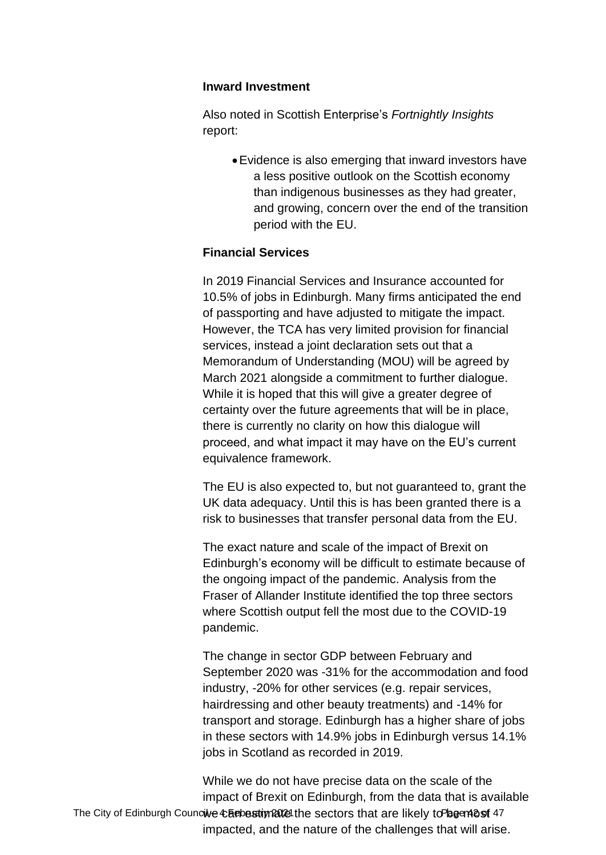#### **Inward Investment**

Also noted in Scottish Enterprise's *Fortnightly Insights* report:

> •Evidence is also emerging that inward investors have a less positive outlook on the Scottish economy than indigenous businesses as they had greater, and growing, concern over the end of the transition period with the EU.

#### **Financial Services**

In 2019 Financial Services and Insurance accounted for 10.5% of jobs in Edinburgh. Many firms anticipated the end of passporting and have adjusted to mitigate the impact. However, the TCA has very limited provision for financial services, instead a joint declaration sets out that a Memorandum of Understanding (MOU) will be agreed by March 2021 alongside a commitment to further dialogue. While it is hoped that this will give a greater degree of certainty over the future agreements that will be in place, there is currently no clarity on how this dialogue will proceed, and what impact it may have on the EU's current equivalence framework.

The EU is also expected to, but not guaranteed to, grant the UK data adequacy. Until this is has been granted there is a risk to businesses that transfer personal data from the EU.

The exact nature and scale of the impact of Brexit on Edinburgh's economy will be difficult to estimate because of the ongoing impact of the pandemic. Analysis from the Fraser of Allander Institute identified the top three sectors where Scottish output fell the most due to the COVID-19 pandemic.

The change in sector GDP between February and September 2020 was -31% for the accommodation and food industry, -20% for other services (e.g. repair services, hairdressing and other beauty treatments) and -14% for transport and storage. Edinburgh has a higher share of jobs in these sectors with 14.9% jobs in Edinburgh versus 14.1% jobs in Scotland as recorded in 2019.

The City of Edinburgh Councive Chebestim allet the sectors that are likely to began 2st 47 While we do not have precise data on the scale of the impact of Brexit on Edinburgh, from the data that is available impacted, and the nature of the challenges that will arise.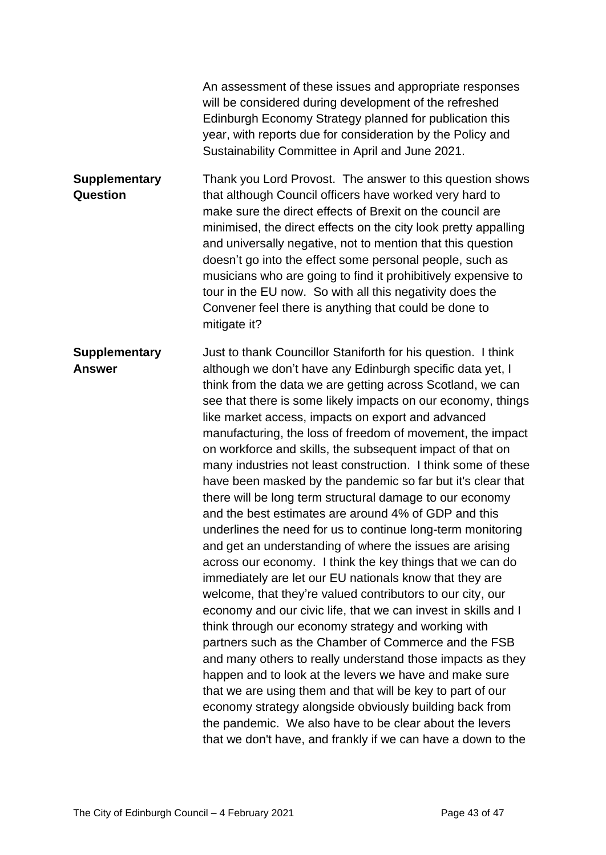|                                         | An assessment of these issues and appropriate responses<br>will be considered during development of the refreshed<br>Edinburgh Economy Strategy planned for publication this<br>year, with reports due for consideration by the Policy and<br>Sustainability Committee in April and June 2021.                                                                                                                                                                                                                                                                                        |
|-----------------------------------------|---------------------------------------------------------------------------------------------------------------------------------------------------------------------------------------------------------------------------------------------------------------------------------------------------------------------------------------------------------------------------------------------------------------------------------------------------------------------------------------------------------------------------------------------------------------------------------------|
| <b>Supplementary</b><br><b>Question</b> | Thank you Lord Provost. The answer to this question shows<br>that although Council officers have worked very hard to<br>make sure the direct effects of Brexit on the council are<br>minimised, the direct effects on the city look pretty appalling<br>and universally negative, not to mention that this question<br>doesn't go into the effect some personal people, such as<br>musicians who are going to find it prohibitively expensive to<br>tour in the EU now. So with all this negativity does the<br>Convener feel there is anything that could be done to<br>mitigate it? |
| <b>Supplementary</b><br><b>Answer</b>   | Just to thank Councillor Staniforth for his question. I think<br>although we don't have any Edinburgh specific data yet, I<br>think from the data we are getting across Scotland, we can<br>see that there is some likely impacts on our economy, things                                                                                                                                                                                                                                                                                                                              |

like market access, impacts on export and advanced manufacturing, the loss of freedom of movement, the impact on workforce and skills, the subsequent impact of that on many industries not least construction. I think some of these have been masked by the pandemic so far but it's clear that there will be long term structural damage to our economy and the best estimates are around 4% of GDP and this underlines the need for us to continue long-term monitoring and get an understanding of where the issues are arising across our economy. I think the key things that we can do immediately are let our EU nationals know that they are welcome, that they're valued contributors to our city, our economy and our civic life, that we can invest in skills and I think through our economy strategy and working with partners such as the Chamber of Commerce and the FSB and many others to really understand those impacts as they happen and to look at the levers we have and make sure that we are using them and that will be key to part of our economy strategy alongside obviously building back from the pandemic. We also have to be clear about the levers that we don't have, and frankly if we can have a down to the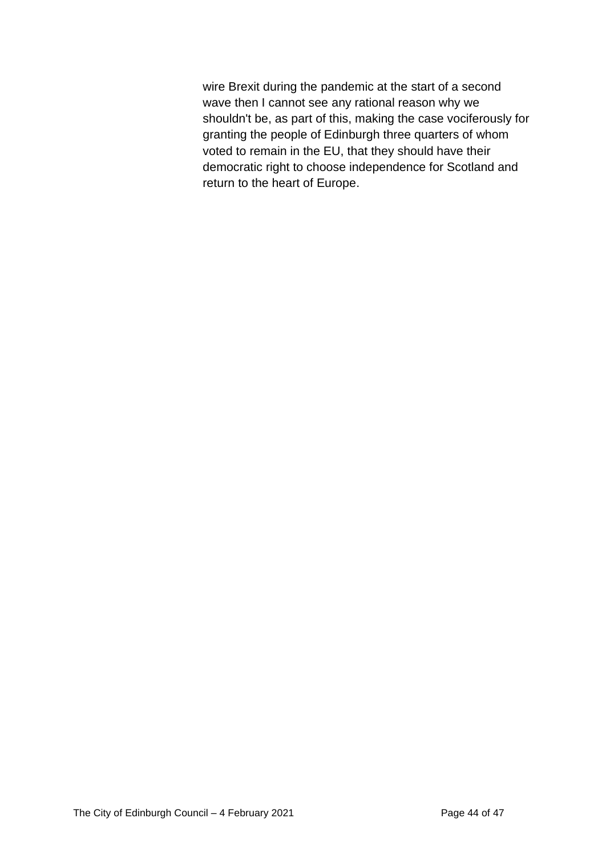wire Brexit during the pandemic at the start of a second wave then I cannot see any rational reason why we shouldn't be, as part of this, making the case vociferously for granting the people of Edinburgh three quarters of whom voted to remain in the EU, that they should have their democratic right to choose independence for Scotland and return to the heart of Europe.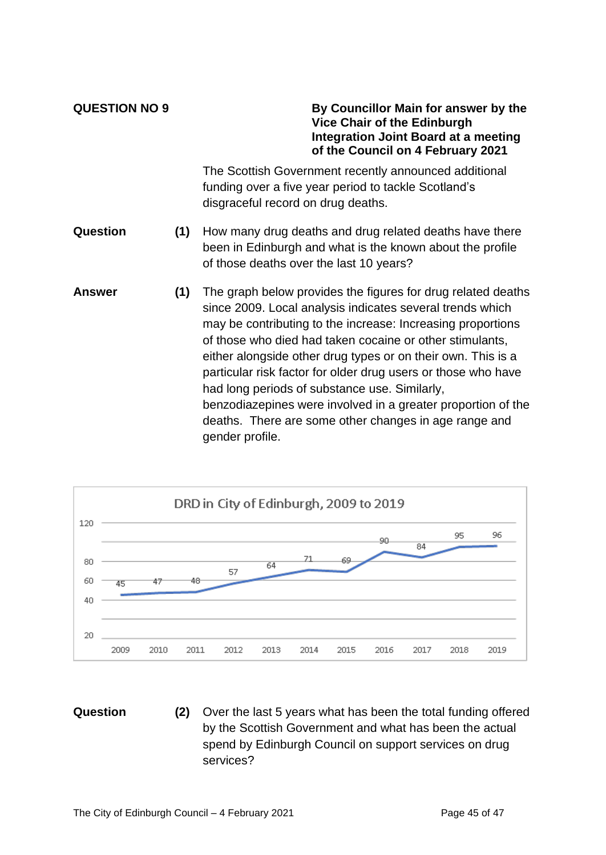**QUESTION NO 9 By Councillor Main for answer by the Vice Chair of the Edinburgh Integration Joint Board at a meeting of the Council on 4 February 2021**

> The Scottish Government recently announced additional funding over a five year period to tackle Scotland's disgraceful record on drug deaths.

- **Question (1)** How many drug deaths and drug related deaths have there been in Edinburgh and what is the known about the profile of those deaths over the last 10 years?
- **Answer (1)** The graph below provides the figures for drug related deaths since 2009. Local analysis indicates several trends which may be contributing to the increase: Increasing proportions of those who died had taken cocaine or other stimulants, either alongside other drug types or on their own. This is a particular risk factor for older drug users or those who have had long periods of substance use. Similarly, benzodiazepines were involved in a greater proportion of the deaths. There are some other changes in age range and gender profile.



**Question (2)** Over the last 5 years what has been the total funding offered by the Scottish Government and what has been the actual spend by Edinburgh Council on support services on drug services?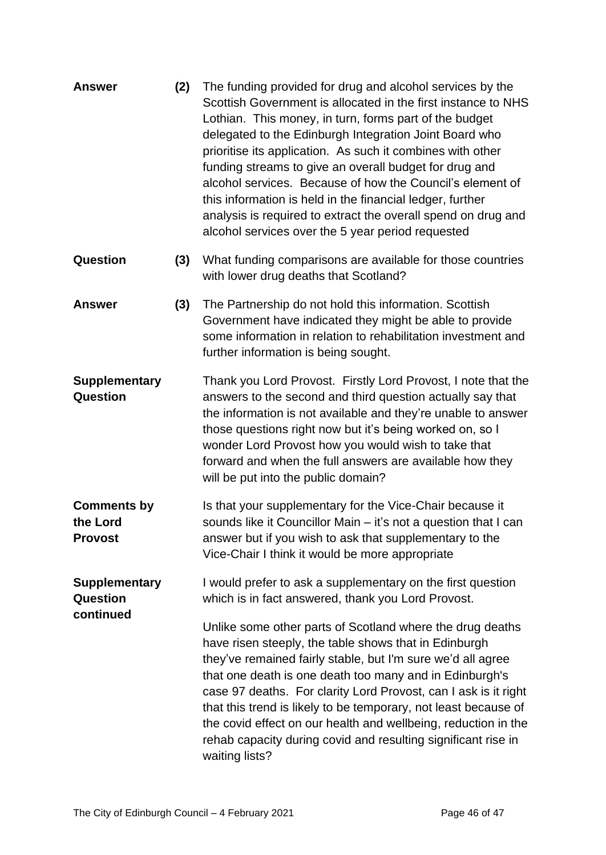| <b>Answer</b>                                        | (2) | The funding provided for drug and alcohol services by the<br>Scottish Government is allocated in the first instance to NHS<br>Lothian. This money, in turn, forms part of the budget<br>delegated to the Edinburgh Integration Joint Board who<br>prioritise its application. As such it combines with other<br>funding streams to give an overall budget for drug and<br>alcohol services. Because of how the Council's element of<br>this information is held in the financial ledger, further<br>analysis is required to extract the overall spend on drug and<br>alcohol services over the 5 year period requested                                       |
|------------------------------------------------------|-----|--------------------------------------------------------------------------------------------------------------------------------------------------------------------------------------------------------------------------------------------------------------------------------------------------------------------------------------------------------------------------------------------------------------------------------------------------------------------------------------------------------------------------------------------------------------------------------------------------------------------------------------------------------------|
| Question                                             | (3) | What funding comparisons are available for those countries<br>with lower drug deaths that Scotland?                                                                                                                                                                                                                                                                                                                                                                                                                                                                                                                                                          |
| <b>Answer</b>                                        | (3) | The Partnership do not hold this information. Scottish<br>Government have indicated they might be able to provide<br>some information in relation to rehabilitation investment and<br>further information is being sought.                                                                                                                                                                                                                                                                                                                                                                                                                                   |
| <b>Supplementary</b><br><b>Question</b>              |     | Thank you Lord Provost. Firstly Lord Provost, I note that the<br>answers to the second and third question actually say that<br>the information is not available and they're unable to answer<br>those questions right now but it's being worked on, so I<br>wonder Lord Provost how you would wish to take that<br>forward and when the full answers are available how they<br>will be put into the public domain?                                                                                                                                                                                                                                           |
| <b>Comments by</b><br>the Lord<br><b>Provost</b>     |     | Is that your supplementary for the Vice-Chair because it<br>sounds like it Councillor Main - it's not a question that I can<br>answer but if you wish to ask that supplementary to the<br>Vice-Chair I think it would be more appropriate                                                                                                                                                                                                                                                                                                                                                                                                                    |
| <b>Supplementary</b><br><b>Question</b><br>continued |     | I would prefer to ask a supplementary on the first question<br>which is in fact answered, thank you Lord Provost.<br>Unlike some other parts of Scotland where the drug deaths<br>have risen steeply, the table shows that in Edinburgh<br>they've remained fairly stable, but I'm sure we'd all agree<br>that one death is one death too many and in Edinburgh's<br>case 97 deaths. For clarity Lord Provost, can I ask is it right<br>that this trend is likely to be temporary, not least because of<br>the covid effect on our health and wellbeing, reduction in the<br>rehab capacity during covid and resulting significant rise in<br>waiting lists? |